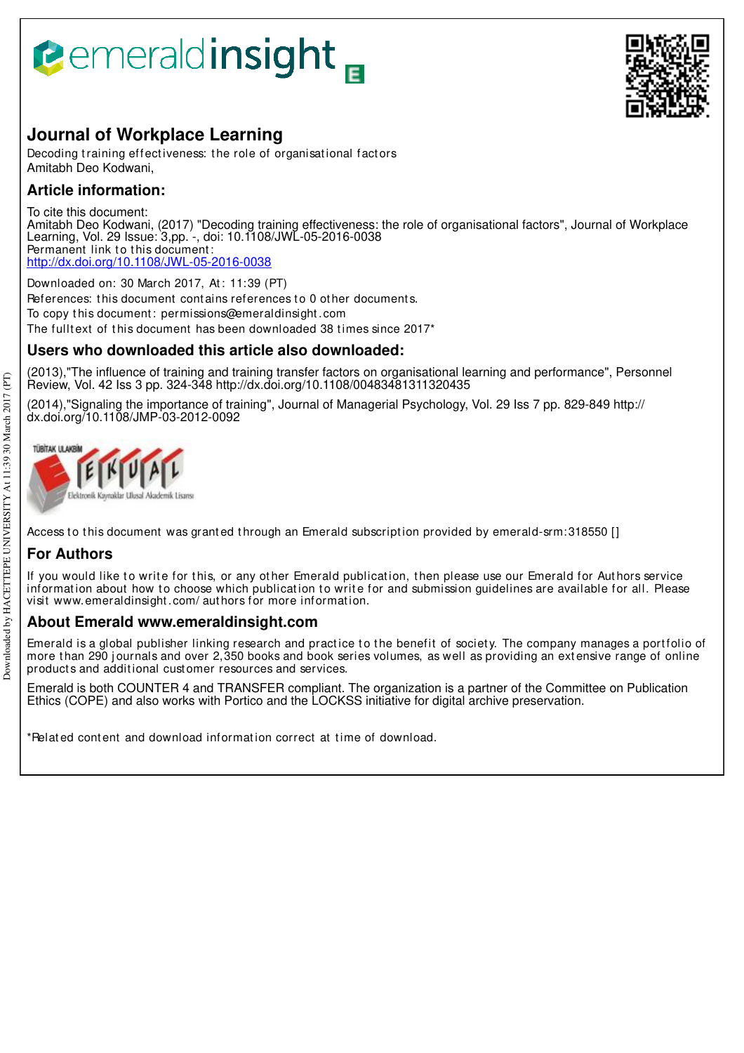# **Pemeraldinsight**



## **Journal of Workplace Learning**

Decoding training effectiveness: the role of organisational factors Amitabh Deo Kodwani,

## **Article information:**

To cite this document: Amitabh Deo Kodwani, (2017) "Decoding training effectiveness: the role of organisational factors", Journal of Workplace Learning, Vol. 29 Issue: 3,pp. -, doi: 10.1108/JWL-05-2016-0038 Permanent link to this document: http://dx.doi.org/10.1108/JWL-05-2016-0038

Downloaded on: 30 March 2017, At: 11:39 (PT) References: this document contains references to 0 other documents. To copy t his document : permissions@emeraldinsight .com The fulltext of this document has been downloaded 38 times since 2017<sup>\*</sup>

## **Users who downloaded this article also downloaded:**

(2013),"The influence of training and training transfer factors on organisational learning and performance", Personnel Review, Vol. 42 Iss 3 pp. 324-348 http://dx.doi.org/10.1108/00483481311320435

(2014),"Signaling the importance of training", Journal of Managerial Psychology, Vol. 29 Iss 7 pp. 829-849 http:// dx.doi.org/10.1108/JMP-03-2012-0092



Access to this document was granted through an Emerald subscription provided by emerald-srm:318550 []

## **For Authors**

If you would like to write for this, or any other Emerald publication, then please use our Emerald for Authors service information about how to choose which publication to write for and submission guidelines are available for all. Please visit www.emeraldinsight .com/ aut hors for more informat ion.

## **About Emerald www.emeraldinsight.com**

Emerald is a global publisher linking research and practice to the benefit of society. The company manages a portfolio of more than 290 journals and over 2,350 books and book series volumes, as well as providing an extensive range of online product s and addit ional cust omer resources and services.

Emerald is both COUNTER 4 and TRANSFER compliant. The organization is a partner of the Committee on Publication Ethics (COPE) and also works with Portico and the LOCKSS initiative for digital archive preservation.

\*Relat ed cont ent and download informat ion correct at t ime of download.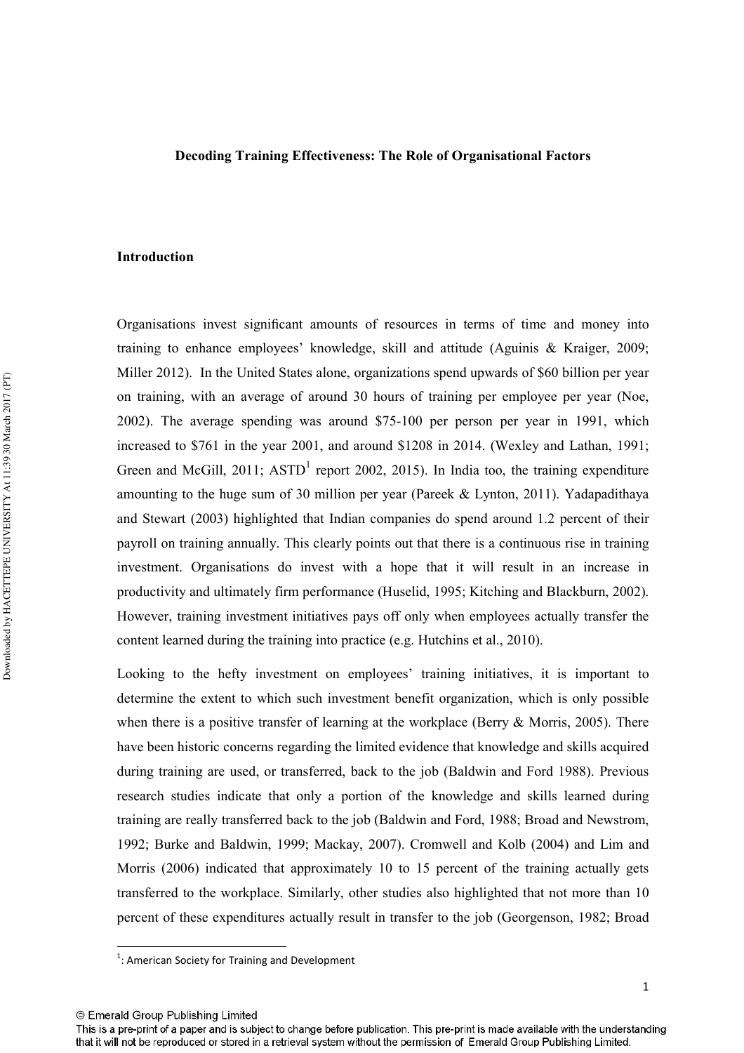#### **Decoding Training Effectiveness: The Role of Organisational Factors**

#### **Introduction**

Organisations invest significant amounts of resources in terms of time and money into training to enhance employees' knowledge, skill and attitude (Aguinis & Kraiger, 2009; Miller 2012). In the United States alone, organizations spend upwards of \$60 billion per year on training, with an average of around 30 hours of training per employee per year (Noe, 2002). The average spending was around \$75-100 per person per year in 1991, which increased to \$761 in the year 2001, and around \$1208 in 2014. (Wexley and Lathan, 1991; Green and McGill, 2011;  $ASTD<sup>1</sup>$  report 2002, 2015). In India too, the training expenditure amounting to the huge sum of 30 million per year (Pareek & Lynton, 2011). Yadapadithaya and Stewart (2003) highlighted that Indian companies do spend around 1.2 percent of their payroll on training annually. This clearly points out that there is a continuous rise in training investment. Organisations do invest with a hope that it will result in an increase in productivity and ultimately firm performance (Huselid, 1995; Kitching and Blackburn, 2002). However, training investment initiatives pays off only when employees actually transfer the content learned during the training into practice (e.g. Hutchins et al., 2010).

Looking to the hefty investment on employees' training initiatives, it is important to determine the extent to which such investment benefit organization, which is only possible when there is a positive transfer of learning at the workplace (Berry & Morris, 2005). There have been historic concerns regarding the limited evidence that knowledge and skills acquired during training are used, or transferred, back to the job (Baldwin and Ford 1988). Previous research studies indicate that only a portion of the knowledge and skills learned during training are really transferred back to the job (Baldwin and Ford, 1988; Broad and Newstrom, 1992; Burke and Baldwin, 1999; Mackay, 2007). Cromwell and Kolb (2004) and Lim and Morris (2006) indicated that approximately 10 to 15 percent of the training actually gets transferred to the workplace. Similarly, other studies also highlighted that not more than 10 percent of these expenditures actually result in transfer to the job (Georgenson, 1982; Broad

<sup>&</sup>lt;sup>1</sup>: American Society for Training and Development

This is a pre-print of a paper and is subject to change before publication. This pre-print is made available with the understanding that it will not be reproduced or stored in a retrieval system without the permission of Emerald Group Publishing Limited.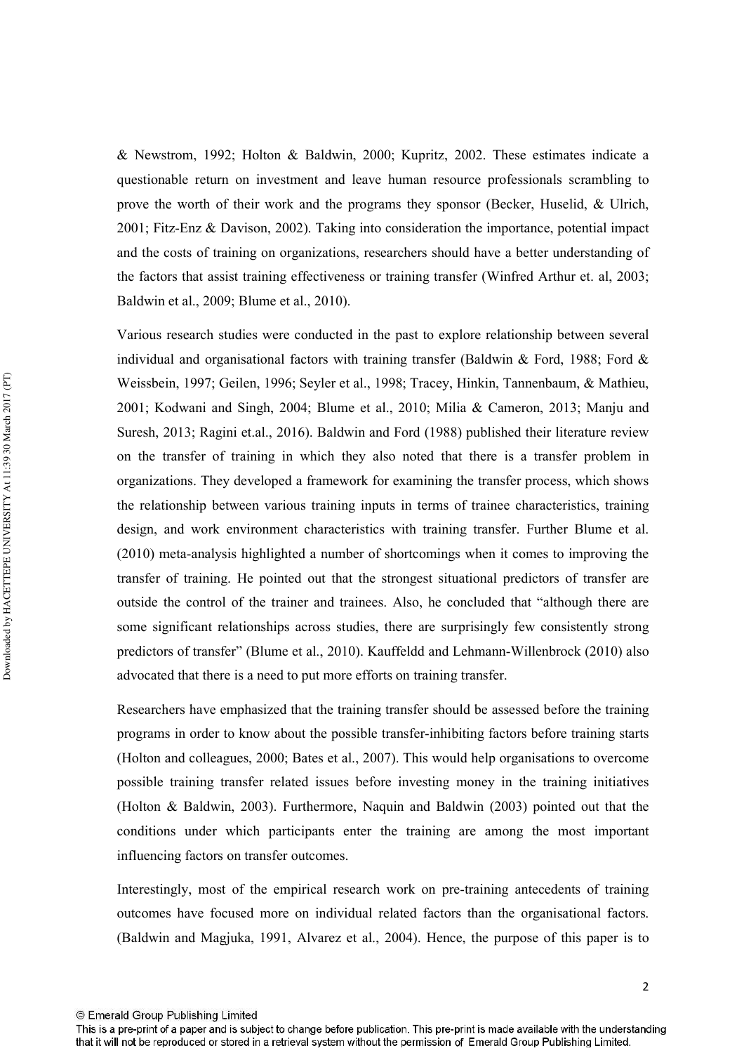& Newstrom, 1992; Holton & Baldwin, 2000; Kupritz, 2002. These estimates indicate a questionable return on investment and leave human resource professionals scrambling to prove the worth of their work and the programs they sponsor (Becker, Huselid, & Ulrich, 2001: Fitz-Enz & Davison, 2002). Taking into consideration the importance, potential impact and the costs of training on organizations, researchers should have a better understanding of the factors that assist training effectiveness or training transfer (Winfred Arthur et. al. 2003; Baldwin et al., 2009: Blume et al., 2010).

Various research studies were conducted in the past to explore relationship between several individual and organisational factors with training transfer (Baldwin & Ford, 1988; Ford & Weissbein, 1997; Geilen, 1996; Seyler et al., 1998; Tracey, Hinkin, Tannenbaum, & Mathieu, 2001; Kodwani and Singh, 2004; Blume et al., 2010; Milia & Cameron, 2013; Manju and Suresh, 2013; Ragini et.al., 2016). Baldwin and Ford (1988) published their literature review on the transfer of training in which they also noted that there is a transfer problem in organizations. They developed a framework for examining the transfer process, which shows the relationship between various training inputs in terms of trainee characteristics, training design, and work environment characteristics with training transfer. Further Blume et al. (2010) meta-analysis highlighted a number of shortcomings when it comes to improving the transfer of training. He pointed out that the strongest situational predictors of transfer are outside the control of the trainer and trainees. Also, he concluded that "although there are some significant relationships across studies, there are surprisingly few consistently strong predictors of transfer" (Blume et al., 2010). Kauffeldd and Lehmann-Willenbrock (2010) also advocated that there is a need to put more efforts on training transfer.

Researchers have emphasized that the training transfer should be assessed before the training programs in order to know about the possible transfer-inhibiting factors before training starts (Holton and colleagues, 2000; Bates et al., 2007). This would help organisations to overcome possible training transfer related issues before investing money in the training initiatives (Holton & Baldwin, 2003). Furthermore, Naquin and Baldwin (2003) pointed out that the conditions under which participants enter the training are among the most important influencing factors on transfer outcomes.

Interestingly, most of the empirical research work on pre-training antecedents of training outcomes have focused more on individual related factors than the organisational factors. (Baldwin and Magjuka, 1991, Alvarez et al., 2004). Hence, the purpose of this paper is to

© Emerald Group Publishing Limited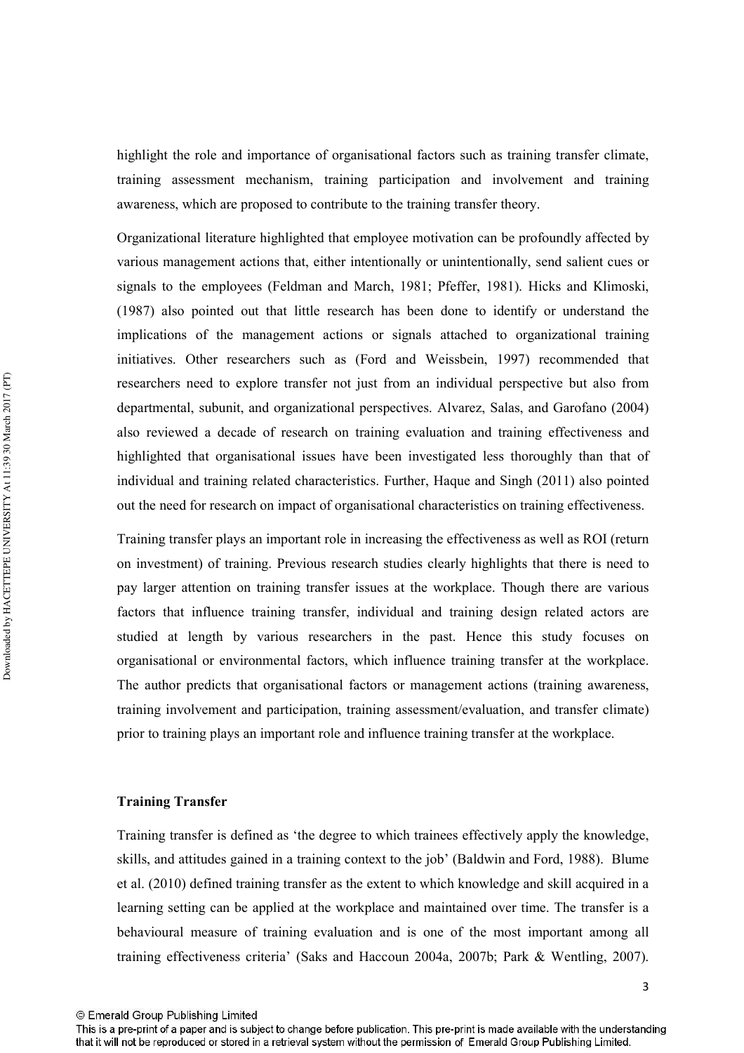highlight the role and importance of organisational factors such as training transfer climate, training assessment mechanism, training participation and involvement and training awareness, which are proposed to contribute to the training transfer theory.

Organizational literature highlighted that employee motivation can be profoundly affected by various management actions that, either intentionally or unintentionally, send salient cues or signals to the employees (Feldman and March, 1981; Pfeffer, 1981). Hicks and Klimoski, (1987) also pointed out that little research has been done to identify or understand the implications of the management actions or signals attached to organizational training initiatives. Other researchers such as (Ford and Weissbein, 1997) recommended that researchers need to explore transfer not just from an individual perspective but also from departmental, subunit, and organizational perspectives. Alvarez, Salas, and Garofano (2004) also reviewed a decade of research on training evaluation and training effectiveness and highlighted that organisational issues have been investigated less thoroughly than that of individual and training related characteristics. Further, Haque and Singh (2011) also pointed out the need for research on impact of organisational characteristics on training effectiveness.

Training transfer plays an important role in increasing the effectiveness as well as ROI (return on investment) of training. Previous research studies clearly highlights that there is need to pay larger attention on training transfer issues at the workplace. Though there are various factors that influence training transfer, individual and training design related actors are studied at length by various researchers in the past. Hence this study focuses on organisational or environmental factors, which influence training transfer at the workplace. The author predicts that organisational factors or management actions (training awareness, training involvement and participation, training assessment/evaluation, and transfer climate) prior to training plays an important role and influence training transfer at the workplace.

#### **Training Transfer**

Training transfer is defined as 'the degree to which trainees effectively apply the knowledge. skills, and attitudes gained in a training context to the job' (Baldwin and Ford, 1988). Blume et al. (2010) defined training transfer as the extent to which knowledge and skill acquired in a learning setting can be applied at the workplace and maintained over time. The transfer is a behavioural measure of training evaluation and is one of the most important among all training effectiveness criteria' (Saks and Haccoun 2004a, 2007b; Park & Wentling, 2007).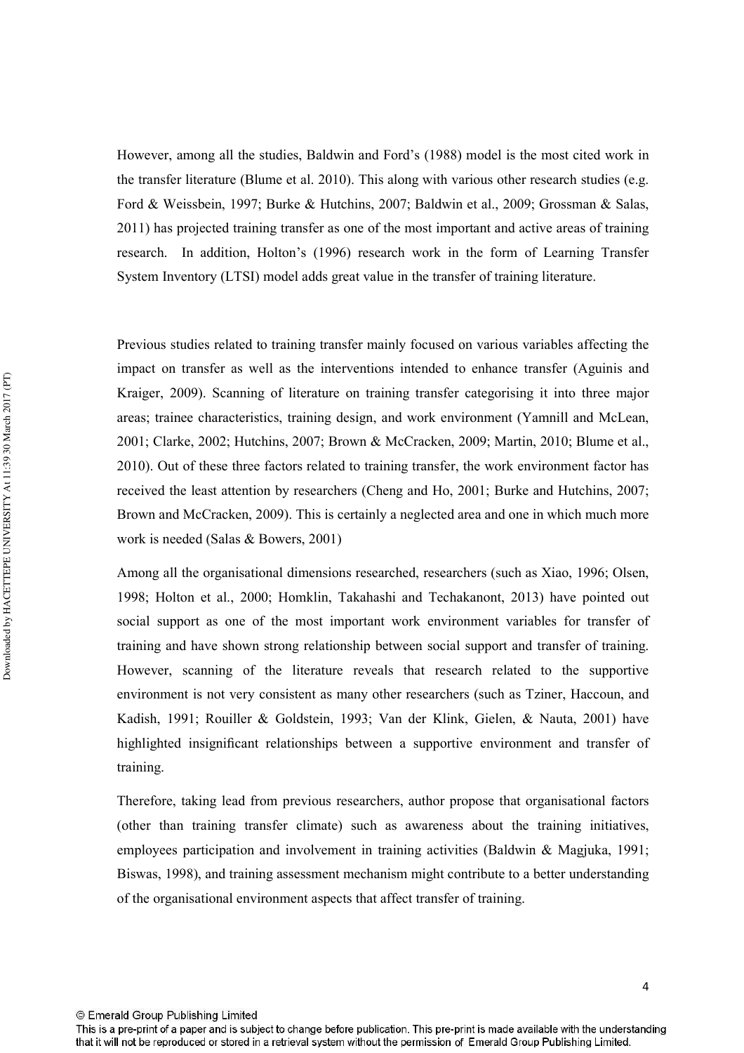However, among all the studies, Baldwin and Ford's (1988) model is the most cited work in the transfer literature (Blume et al. 2010). This along with various other research studies (e.g. Ford & Weissbein, 1997; Burke & Hutchins, 2007; Baldwin et al., 2009; Grossman & Salas, 2011) has projected training transfer as one of the most important and active areas of training research. In addition, Holton's (1996) research work in the form of Learning Transfer System Inventory (LTSI) model adds great value in the transfer of training literature.

Previous studies related to training transfer mainly focused on various variables affecting the impact on transfer as well as the interventions intended to enhance transfer (Aguinis and Kraiger, 2009). Scanning of literature on training transfer categorising it into three major areas; trainee characteristics, training design, and work environment (Yamnill and McLean, 2001; Clarke, 2002; Hutchins, 2007; Brown & McCracken, 2009; Martin, 2010; Blume et al., 2010). Out of these three factors related to training transfer, the work environment factor has received the least attention by researchers (Cheng and Ho, 2001; Burke and Hutchins, 2007; Brown and McCracken, 2009). This is certainly a neglected area and one in which much more work is needed (Salas & Bowers, 2001)

Among all the organisational dimensions researched, researchers (such as Xiao, 1996; Olsen, 1998; Holton et al., 2000; Homklin, Takahashi and Techakanont, 2013) have pointed out social support as one of the most important work environment variables for transfer of training and have shown strong relationship between social support and transfer of training. However, scanning of the literature reveals that research related to the supportive environment is not very consistent as many other researchers (such as Tziner, Haccoun, and Kadish, 1991; Rouiller & Goldstein, 1993; Van der Klink, Gielen, & Nauta, 2001) have highlighted insignificant relationships between a supportive environment and transfer of training.

Therefore, taking lead from previous researchers, author propose that organisational factors (other than training transfer climate) such as awareness about the training initiatives, employees participation and involvement in training activities (Baldwin  $\&$  Magjuka, 1991; Biswas, 1998), and training assessment mechanism might contribute to a better understanding of the organisational environment aspects that affect transfer of training.

This is a pre-print of a paper and is subject to change before publication. This pre-print is made available with the understanding that it will not be reproduced or stored in a retrieval system without the permission of Emerald Group Publishing Limited.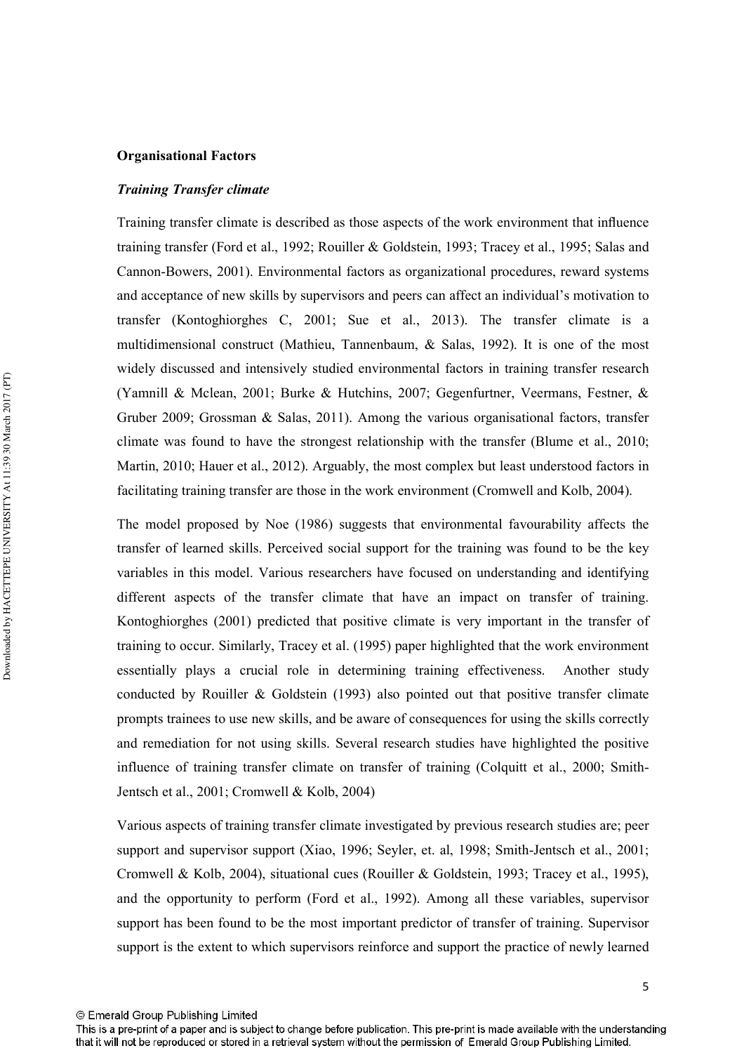#### **Organisational Factors**

#### **Training Transfer climate**

Training transfer climate is described as those aspects of the work environment that influence training transfer (Ford et al., 1992; Rouiller & Goldstein, 1993; Tracey et al., 1995; Salas and Cannon-Bowers, 2001). Environmental factors as organizational procedures, reward systems and acceptance of new skills by supervisors and peers can affect an individual's motivation to transfer (Kontoghiorghes C, 2001; Sue et al., 2013). The transfer climate is a multidimensional construct (Mathieu, Tannenbaum, & Salas, 1992). It is one of the most widely discussed and intensively studied environmental factors in training transfer research (Yamnill & Mclean, 2001; Burke & Hutchins, 2007; Gegenfurtner, Veermans, Festner, & Gruber 2009; Grossman & Salas, 2011). Among the various organisational factors, transfer climate was found to have the strongest relationship with the transfer (Blume et al., 2010; Martin, 2010; Hauer et al., 2012). Arguably, the most complex but least understood factors in facilitating training transfer are those in the work environment (Cromwell and Kolb, 2004).

The model proposed by Noe (1986) suggests that environmental favourability affects the transfer of learned skills. Perceived social support for the training was found to be the key variables in this model. Various researchers have focused on understanding and identifying different aspects of the transfer climate that have an impact on transfer of training. Kontoghiorghes (2001) predicted that positive climate is very important in the transfer of training to occur. Similarly, Tracey et al. (1995) paper highlighted that the work environment essentially plays a crucial role in determining training effectiveness. Another study conducted by Rouiller & Goldstein (1993) also pointed out that positive transfer climate prompts trainees to use new skills, and be aware of consequences for using the skills correctly and remediation for not using skills. Several research studies have highlighted the positive influence of training transfer climate on transfer of training (Colquitt et al., 2000; Smith-Jentsch et al., 2001; Cromwell & Kolb, 2004)

Various aspects of training transfer climate investigated by previous research studies are; peer support and supervisor support (Xiao, 1996; Seyler, et. al. 1998; Smith-Jentsch et al., 2001; Cromwell & Kolb, 2004), situational cues (Rouiller & Goldstein, 1993; Tracey et al., 1995), and the opportunity to perform (Ford et al., 1992). Among all these variables, supervisor support has been found to be the most important predictor of transfer of training. Supervisor support is the extent to which supervisors reinforce and support the practice of newly learned

This is a pre-print of a paper and is subject to change before publication. This pre-print is made available with the understanding that it will not be reproduced or stored in a retrieval system without the permission of Emerald Group Publishing Limited.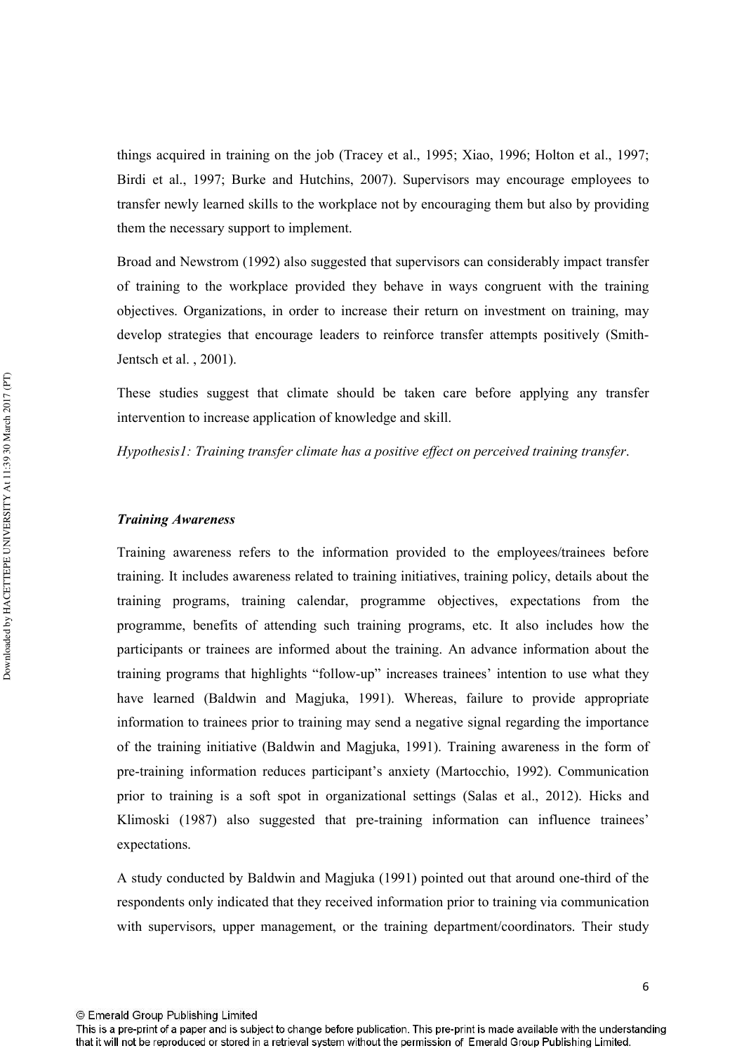things acquired in training on the job (Tracey et al., 1995; Xiao, 1996; Holton et al., 1997; Birdi et al., 1997; Burke and Hutchins, 2007). Supervisors may encourage employees to transfer newly learned skills to the workplace not by encouraging them but also by providing them the necessary support to implement.

Broad and Newstrom (1992) also suggested that supervisors can considerably impact transfer of training to the workplace provided they behave in ways congruent with the training objectives. Organizations, in order to increase their return on investment on training, may develop strategies that encourage leaders to reinforce transfer attempts positively (Smith-Jentsch et al., 2001).

These studies suggest that climate should be taken care before applying any transfer intervention to increase application of knowledge and skill.

Hypothesis1: Training transfer climate has a positive effect on perceived training transfer.

#### **Training Awareness**

Training awareness refers to the information provided to the employees/trainees before training. It includes awareness related to training initiatives, training policy, details about the training programs, training calendar, programme objectives, expectations from the programme, benefits of attending such training programs, etc. It also includes how the participants or trainees are informed about the training. An advance information about the training programs that highlights "follow-up" increases trainees' intention to use what they have learned (Baldwin and Magjuka, 1991). Whereas, failure to provide appropriate information to trainees prior to training may send a negative signal regarding the importance of the training initiative (Baldwin and Magjuka, 1991). Training awareness in the form of pre-training information reduces participant's anxiety (Martocchio, 1992). Communication prior to training is a soft spot in organizational settings (Salas et al., 2012). Hicks and Klimoski (1987) also suggested that pre-training information can influence trainees expectations.

A study conducted by Baldwin and Magjuka (1991) pointed out that around one-third of the respondents only indicated that they received information prior to training via communication with supervisors, upper management, or the training department/coordinators. Their study

© Emerald Group Publishing Limited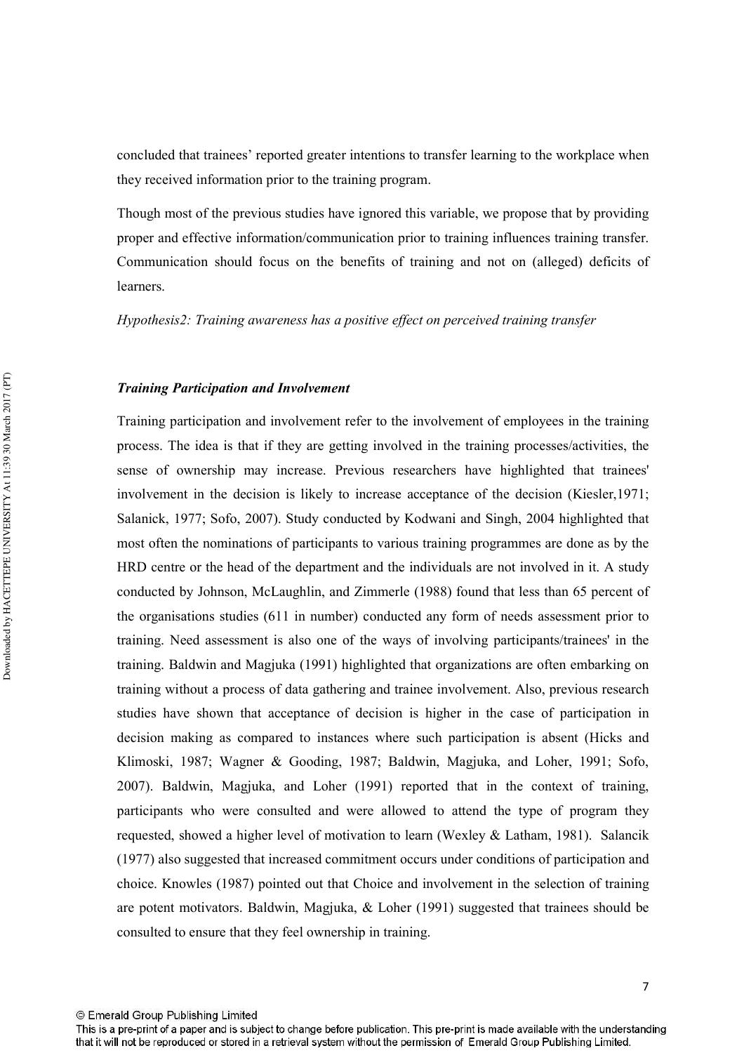concluded that trainees' reported greater intentions to transfer learning to the workplace when they received information prior to the training program.

Though most of the previous studies have ignored this variable, we propose that by providing proper and effective information/communication prior to training influences training transfer. Communication should focus on the benefits of training and not on (alleged) deficits of learners.

Hypothesis2: Training awareness has a positive effect on perceived training transfer

#### **Training Participation and Involvement**

Training participation and involvement refer to the involvement of employees in the training process. The idea is that if they are getting involved in the training processes/activities, the sense of ownership may increase. Previous researchers have highlighted that trainees' involvement in the decision is likely to increase acceptance of the decision (Kiesler, 1971; Salanick, 1977; Sofo, 2007). Study conducted by Kodwani and Singh, 2004 highlighted that most often the nominations of participants to various training programmes are done as by the HRD centre or the head of the department and the individuals are not involved in it. A study conducted by Johnson, McLaughlin, and Zimmerle (1988) found that less than 65 percent of the organisations studies (611 in number) conducted any form of needs assessment prior to training. Need assessment is also one of the ways of involving participants/trainees' in the training. Baldwin and Magjuka (1991) highlighted that organizations are often embarking on training without a process of data gathering and trainee involvement. Also, previous research studies have shown that acceptance of decision is higher in the case of participation in decision making as compared to instances where such participation is absent (Hicks and Klimoski, 1987; Wagner & Gooding, 1987; Baldwin, Magjuka, and Loher, 1991; Sofo, 2007). Baldwin, Magjuka, and Loher (1991) reported that in the context of training, participants who were consulted and were allowed to attend the type of program they requested, showed a higher level of motivation to learn (Wexley & Latham, 1981). Salancik (1977) also suggested that increased commitment occurs under conditions of participation and choice. Knowles (1987) pointed out that Choice and involvement in the selection of training are potent motivators. Baldwin, Magjuka, & Loher  $(1991)$  suggested that trainees should be consulted to ensure that they feel ownership in training.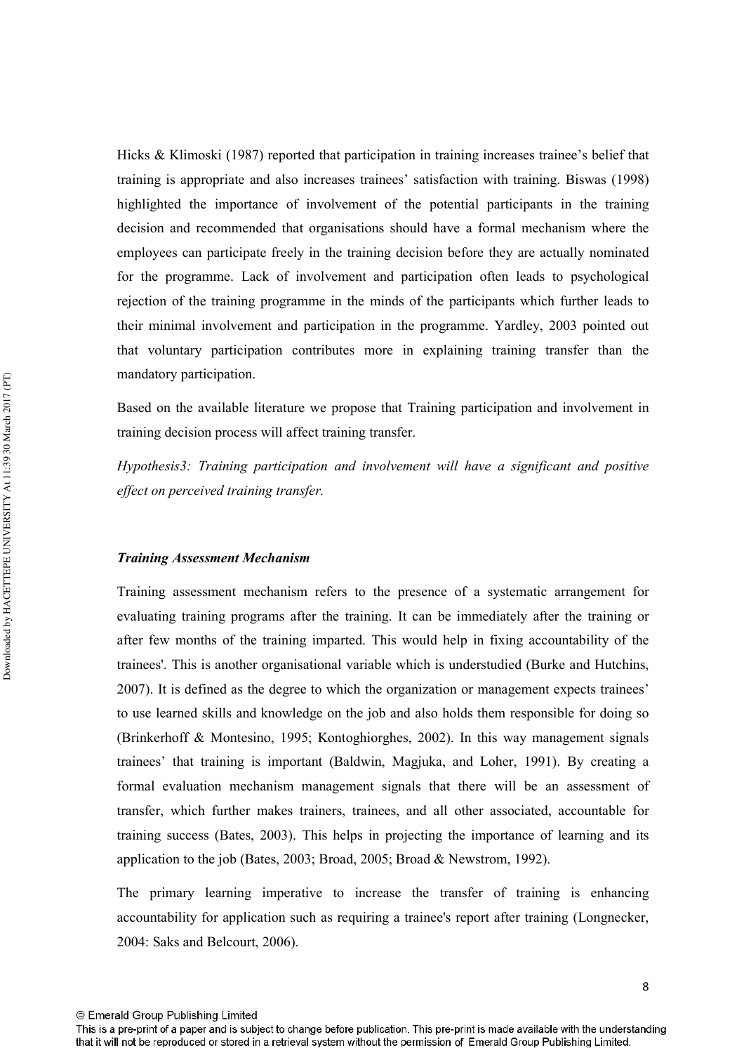Hicks & Klimoski (1987) reported that participation in training increases trainee's belief that training is appropriate and also increases trainees' satisfaction with training. Biswas (1998) highlighted the importance of involvement of the potential participants in the training decision and recommended that organisations should have a formal mechanism where the employees can participate freely in the training decision before they are actually nominated for the programme. Lack of involvement and participation often leads to psychological rejection of the training programme in the minds of the participants which further leads to their minimal involvement and participation in the programme. Yardley, 2003 pointed out that voluntary participation contributes more in explaining training transfer than the mandatory participation.

Based on the available literature we propose that Training participation and involvement in training decision process will affect training transfer.

Hypothesis3: Training participation and involvement will have a significant and positive effect on perceived training transfer.

#### **Training Assessment Mechanism**

Training assessment mechanism refers to the presence of a systematic arrangement for evaluating training programs after the training. It can be immediately after the training or after few months of the training imparted. This would help in fixing accountability of the trainees'. This is another organisational variable which is understudied (Burke and Hutchins, 2007). It is defined as the degree to which the organization or management expects trainees' to use learned skills and knowledge on the job and also holds them responsible for doing so (Brinkerhoff & Montesino, 1995; Kontoghiorghes, 2002). In this way management signals trainees' that training is important (Baldwin, Magjuka, and Loher, 1991). By creating a formal evaluation mechanism management signals that there will be an assessment of transfer, which further makes trainers, trainees, and all other associated, accountable for training success (Bates, 2003). This helps in projecting the importance of learning and its application to the job (Bates, 2003; Broad, 2005; Broad & Newstrom, 1992).

The primary learning imperative to increase the transfer of training is enhancing accountability for application such as requiring a trainee's report after training (Longnecker, 2004: Saks and Belcourt, 2006).

This is a pre-print of a paper and is subject to change before publication. This pre-print is made available with the understanding that it will not be reproduced or stored in a retrieval system without the permission of Emerald Group Publishing Limited.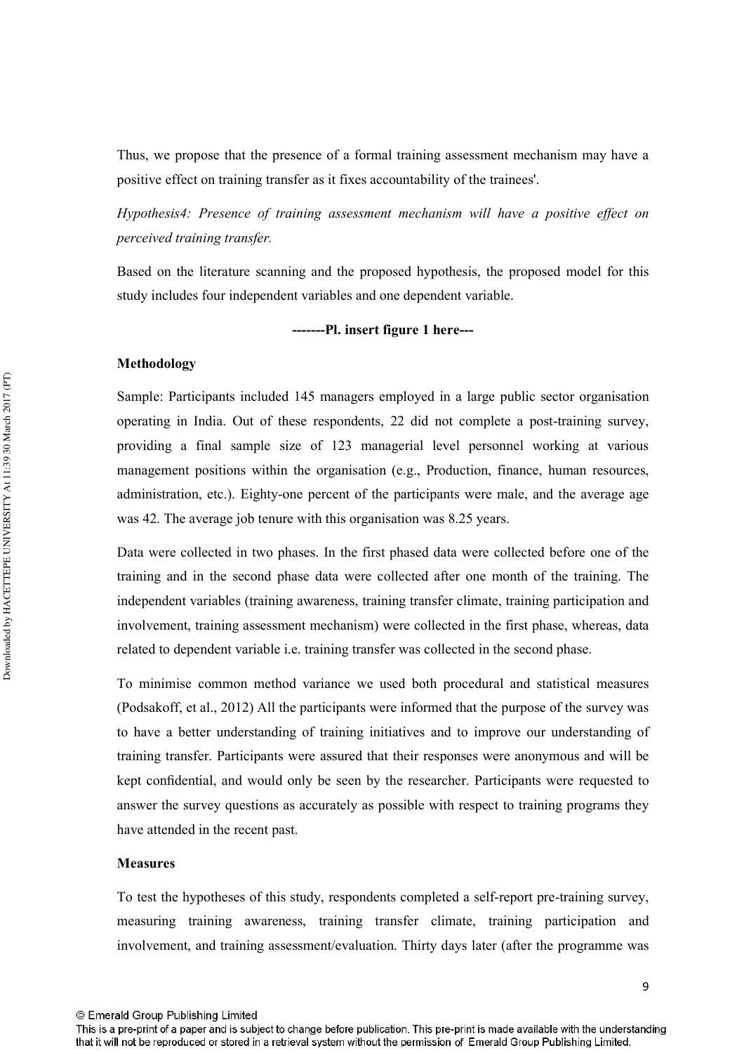Thus, we propose that the presence of a formal training assessment mechanism may have a positive effect on training transfer as it fixes accountability of the trainees'.

Hypothesis4: Presence of training assessment mechanism will have a positive effect on perceived training transfer.

Based on the literature scanning and the proposed hypothesis, the proposed model for this study includes four independent variables and one dependent variable.

-------Pl. insert figure 1 here---

#### Methodology

Sample: Participants included 145 managers employed in a large public sector organisation operating in India. Out of these respondents, 22 did not complete a post-training survey, providing a final sample size of 123 managerial level personnel working at various management positions within the organisation (e.g., Production, finance, human resources, administration, etc.). Eighty-one percent of the participants were male, and the average age was 42. The average job tenure with this organisation was 8.25 years.

Data were collected in two phases. In the first phased data were collected before one of the training and in the second phase data were collected after one month of the training. The independent variables (training awareness, training transfer climate, training participation and involvement, training assessment mechanism) were collected in the first phase, whereas, data related to dependent variable i.e. training transfer was collected in the second phase.

To minimise common method variance we used both procedural and statistical measures (Podsakoff, et al., 2012) All the participants were informed that the purpose of the survey was to have a better understanding of training initiatives and to improve our understanding of training transfer. Participants were assured that their responses were anonymous and will be kept confidential, and would only be seen by the researcher. Participants were requested to answer the survey questions as accurately as possible with respect to training programs they have attended in the recent past.

#### **Measures**

To test the hypotheses of this study, respondents completed a self-report pre-training survey. measuring training awareness, training transfer climate, training participation and involvement, and training assessment/evaluation. Thirty days later (after the programme was

© Emerald Group Publishing Limited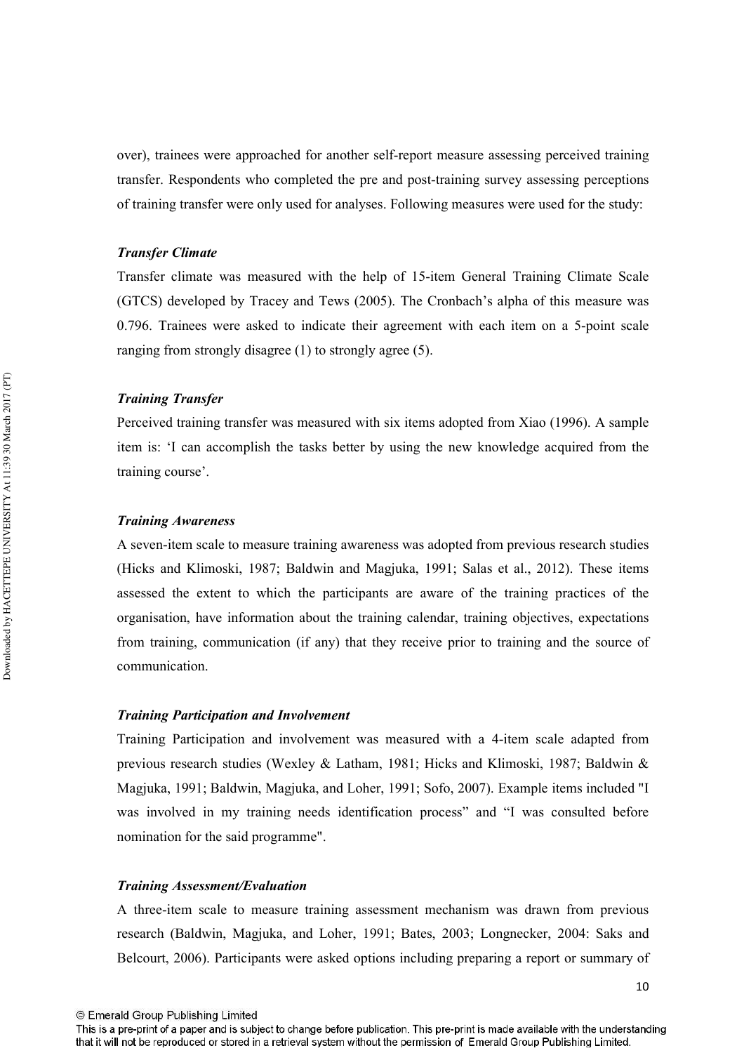over), trainees were approached for another self-report measure assessing perceived training transfer. Respondents who completed the pre and post-training survey assessing perceptions of training transfer were only used for analyses. Following measures were used for the study:

#### **Transfer Climate**

Transfer climate was measured with the help of 15-item General Training Climate Scale (GTCS) developed by Tracey and Tews (2005). The Cronbach's alpha of this measure was 0.796. Trainees were asked to indicate their agreement with each item on a 5-point scale ranging from strongly disagree  $(1)$  to strongly agree  $(5)$ .

#### **Training Transfer**

Perceived training transfer was measured with six items adopted from Xiao (1996). A sample item is: 'I can accomplish the tasks better by using the new knowledge acquired from the training course'.

#### **Training Awareness**

A seven-item scale to measure training awareness was adopted from previous research studies (Hicks and Klimoski, 1987; Baldwin and Magjuka, 1991; Salas et al., 2012). These items assessed the extent to which the participants are aware of the training practices of the organisation, have information about the training calendar, training objectives, expectations from training, communication (if any) that they receive prior to training and the source of communication

#### **Training Participation and Involvement**

Training Participation and involvement was measured with a 4-item scale adapted from previous research studies (Wexley & Latham, 1981; Hicks and Klimoski, 1987; Baldwin & Magjuka, 1991; Baldwin, Magjuka, and Loher, 1991; Sofo, 2007). Example items included "I was involved in my training needs identification process" and "I was consulted before nomination for the said programme".

#### **Training Assessment/Evaluation**

A three-item scale to measure training assessment mechanism was drawn from previous research (Baldwin, Magjuka, and Loher, 1991; Bates, 2003; Longnecker, 2004: Saks and Belcourt, 2006). Participants were asked options including preparing a report or summary of

<sup>©</sup> Emerald Group Publishing Limited

This is a pre-print of a paper and is subject to change before publication. This pre-print is made available with the understanding that it will not be reproduced or stored in a retrieval system without the permission of Emerald Group Publishing Limited.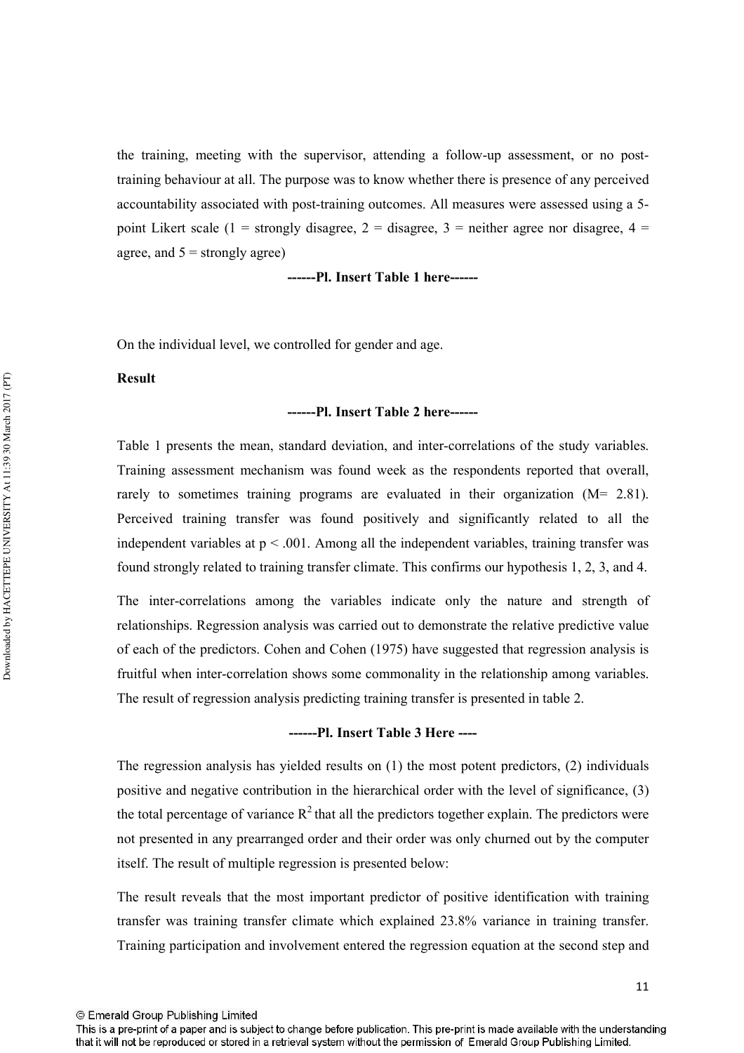the training, meeting with the supervisor, attending a follow-up assessment, or no posttraining behaviour at all. The purpose was to know whether there is presence of any perceived accountability associated with post-training outcomes. All measures were assessed using a 5point Likert scale (1 = strongly disagree, 2 = disagree, 3 = neither agree nor disagree, 4 = agree, and  $5 =$  strongly agree)

------Pl. Insert Table 1 here------

On the individual level, we controlled for gender and age.

#### **Result**

#### ------Pl. Insert Table 2 here------

Table 1 presents the mean, standard deviation, and inter-correlations of the study variables. Training assessment mechanism was found week as the respondents reported that overall, rarely to sometimes training programs are evaluated in their organization  $(M = 2.81)$ . Perceived training transfer was found positively and significantly related to all the independent variables at  $p < .001$ . Among all the independent variables, training transfer was found strongly related to training transfer climate. This confirms our hypothesis 1, 2, 3, and 4.

The inter-correlations among the variables indicate only the nature and strength of relationships. Regression analysis was carried out to demonstrate the relative predictive value of each of the predictors. Cohen and Cohen (1975) have suggested that regression analysis is fruitful when inter-correlation shows some commonality in the relationship among variables. The result of regression analysis predicting training transfer is presented in table 2.

#### ------Pl. Insert Table 3 Here ----

The regression analysis has yielded results on  $(1)$  the most potent predictors,  $(2)$  individuals positive and negative contribution in the hierarchical order with the level of significance, (3) the total percentage of variance  $R^2$  that all the predictors together explain. The predictors were not presented in any prearranged order and their order was only churned out by the computer itself. The result of multiple regression is presented below:

The result reveals that the most important predictor of positive identification with training transfer was training transfer climate which explained 23.8% variance in training transfer. Training participation and involvement entered the regression equation at the second step and

© Emerald Group Publishing Limited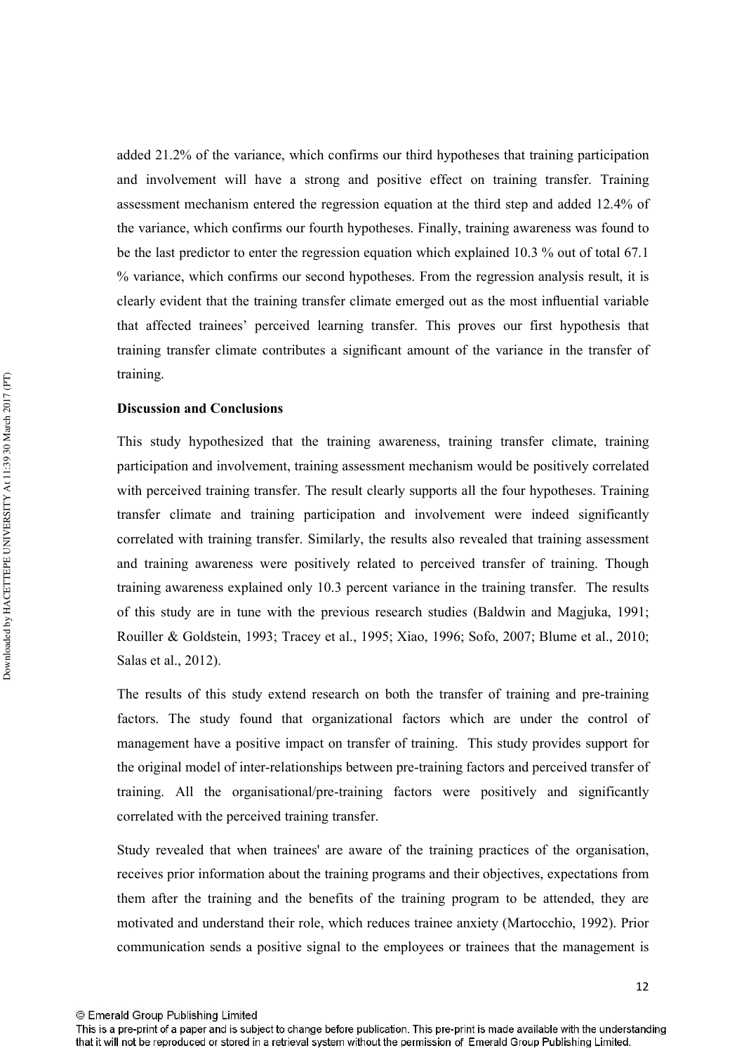added 21.2% of the variance, which confirms our third hypotheses that training participation and involvement will have a strong and positive effect on training transfer. Training assessment mechanism entered the regression equation at the third step and added 12.4% of the variance, which confirms our fourth hypotheses. Finally, training awareness was found to be the last predictor to enter the regression equation which explained 10.3 % out of total 67.1 % variance, which confirms our second hypotheses. From the regression analysis result, it is clearly evident that the training transfer climate emerged out as the most influential variable that affected trainees' perceived learning transfer. This proves our first hypothesis that training transfer climate contributes a significant amount of the variance in the transfer of training.

#### **Discussion and Conclusions**

This study hypothesized that the training awareness, training transfer climate, training participation and involvement, training assessment mechanism would be positively correlated with perceived training transfer. The result clearly supports all the four hypotheses. Training transfer climate and training participation and involvement were indeed significantly correlated with training transfer. Similarly, the results also revealed that training assessment and training awareness were positively related to perceived transfer of training. Though training awareness explained only 10.3 percent variance in the training transfer. The results of this study are in tune with the previous research studies (Baldwin and Magjuka, 1991; Rouiller & Goldstein, 1993; Tracey et al., 1995; Xiao, 1996; Sofo, 2007; Blume et al., 2010; Salas et al., 2012).

The results of this study extend research on both the transfer of training and pre-training factors. The study found that organizational factors which are under the control of management have a positive impact on transfer of training. This study provides support for the original model of inter-relationships between pre-training factors and perceived transfer of training. All the organisational/pre-training factors were positively and significantly correlated with the perceived training transfer.

Study revealed that when trainees' are aware of the training practices of the organisation, receives prior information about the training programs and their objectives, expectations from them after the training and the benefits of the training program to be attended, they are motivated and understand their role, which reduces trainee anxiety (Martocchio, 1992). Prior communication sends a positive signal to the employees or trainees that the management is

© Emerald Group Publishing Limited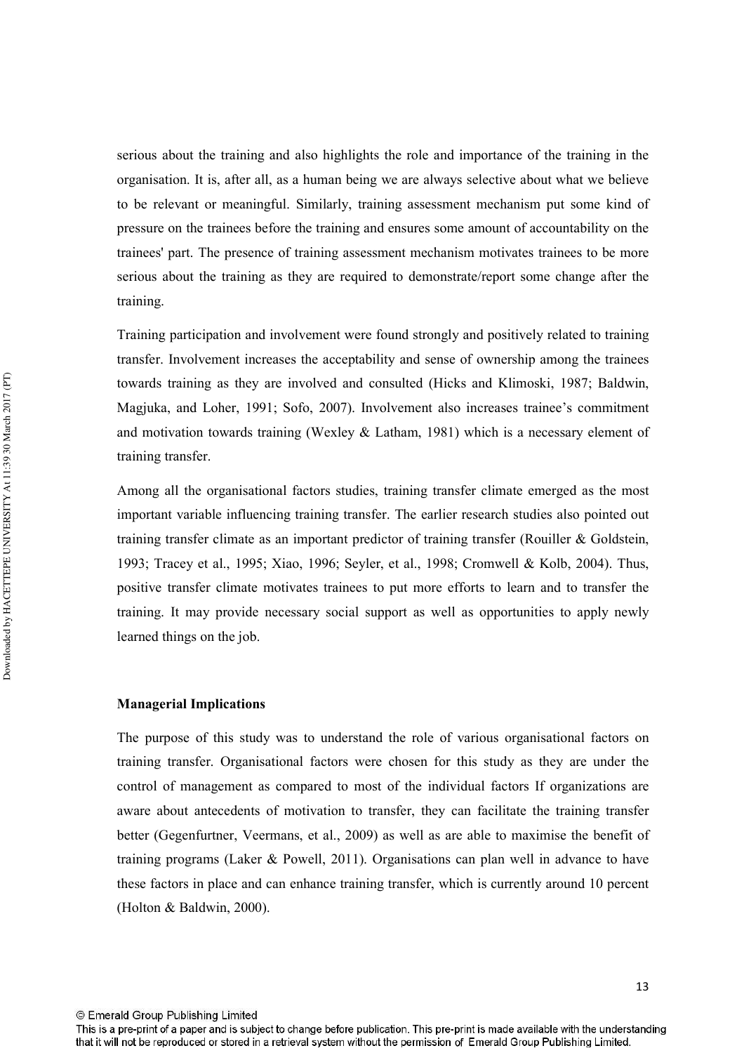serious about the training and also highlights the role and importance of the training in the organisation. It is, after all, as a human being we are always selective about what we believe to be relevant or meaningful. Similarly, training assessment mechanism put some kind of pressure on the trainees before the training and ensures some amount of accountability on the trainees' part. The presence of training assessment mechanism motivates trainees to be more serious about the training as they are required to demonstrate/report some change after the training.

Training participation and involvement were found strongly and positively related to training transfer. Involvement increases the acceptability and sense of ownership among the trainees towards training as they are involved and consulted (Hicks and Klimoski, 1987; Baldwin, Magjuka, and Loher, 1991; Sofo, 2007). Involvement also increases trainee's commitment and motivation towards training (Wexley & Latham, 1981) which is a necessary element of training transfer.

Among all the organisational factors studies, training transfer climate emerged as the most important variable influencing training transfer. The earlier research studies also pointed out training transfer climate as an important predictor of training transfer (Rouiller & Goldstein, 1993; Tracey et al., 1995; Xiao, 1996; Seyler, et al., 1998; Cromwell & Kolb, 2004). Thus, positive transfer climate motivates trainees to put more efforts to learn and to transfer the training. It may provide necessary social support as well as opportunities to apply newly learned things on the job.

#### **Managerial Implications**

The purpose of this study was to understand the role of various organisational factors on training transfer. Organisational factors were chosen for this study as they are under the control of management as compared to most of the individual factors If organizations are aware about antecedents of motivation to transfer, they can facilitate the training transfer better (Gegenfurtner, Veermans, et al., 2009) as well as are able to maximise the benefit of training programs (Laker & Powell, 2011). Organisations can plan well in advance to have these factors in place and can enhance training transfer, which is currently around 10 percent (Holton & Baldwin, 2000).

© Emerald Group Publishing Limited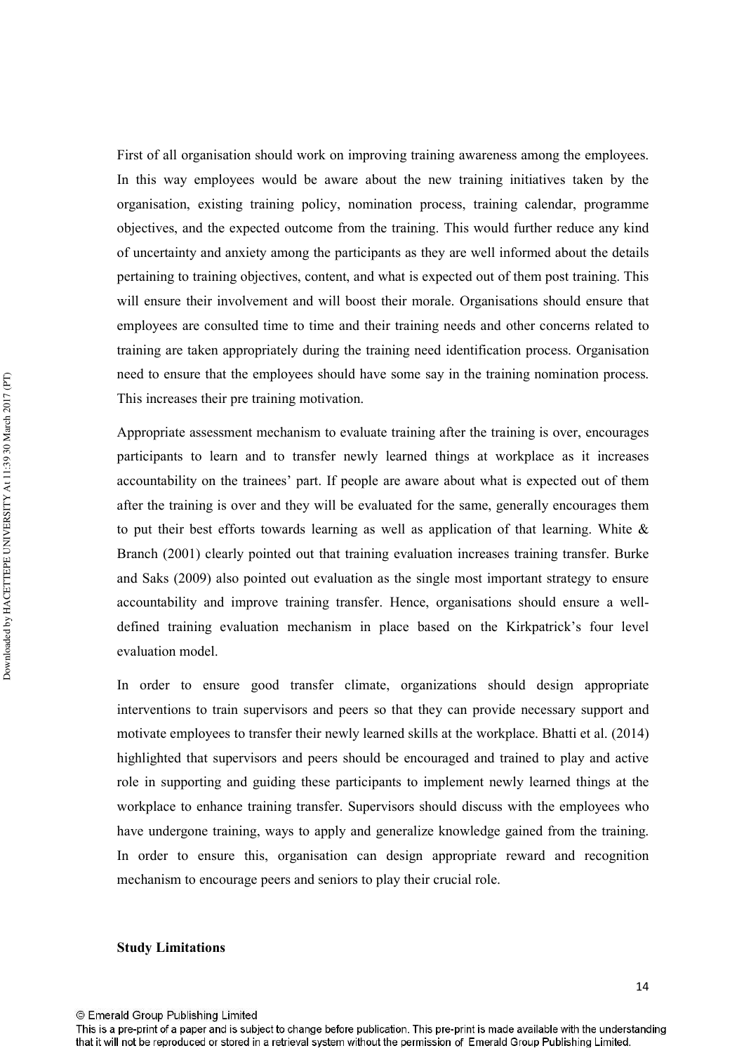First of all organisation should work on improving training awareness among the employees. In this way employees would be aware about the new training initiatives taken by the organisation, existing training policy, nomination process, training calendar, programme objectives, and the expected outcome from the training. This would further reduce any kind of uncertainty and anxiety among the participants as they are well informed about the details pertaining to training objectives, content, and what is expected out of them post training. This will ensure their involvement and will boost their morale. Organisations should ensure that employees are consulted time to time and their training needs and other concerns related to training are taken appropriately during the training need identification process. Organisation need to ensure that the employees should have some say in the training nomination process. This increases their pre training motivation.

Appropriate assessment mechanism to evaluate training after the training is over, encourages participants to learn and to transfer newly learned things at workplace as it increases accountability on the trainees' part. If people are aware about what is expected out of them after the training is over and they will be evaluated for the same, generally encourages them to put their best efforts towards learning as well as application of that learning. White  $\&$ Branch (2001) clearly pointed out that training evaluation increases training transfer. Burke and Saks (2009) also pointed out evaluation as the single most important strategy to ensure accountability and improve training transfer. Hence, organisations should ensure a welldefined training evaluation mechanism in place based on the Kirkpatrick's four level evaluation model.

In order to ensure good transfer climate, organizations should design appropriate interventions to train supervisors and peers so that they can provide necessary support and motivate employees to transfer their newly learned skills at the workplace. Bhatti et al. (2014) highlighted that supervisors and peers should be encouraged and trained to play and active role in supporting and guiding these participants to implement newly learned things at the workplace to enhance training transfer. Supervisors should discuss with the employees who have undergone training, ways to apply and generalize knowledge gained from the training. In order to ensure this, organisation can design appropriate reward and recognition mechanism to encourage peers and seniors to play their crucial role.

#### **Study Limitations**

This is a pre-print of a paper and is subject to change before publication. This pre-print is made available with the understanding that it will not be reproduced or stored in a retrieval system without the permission of Emerald Group Publishing Limited.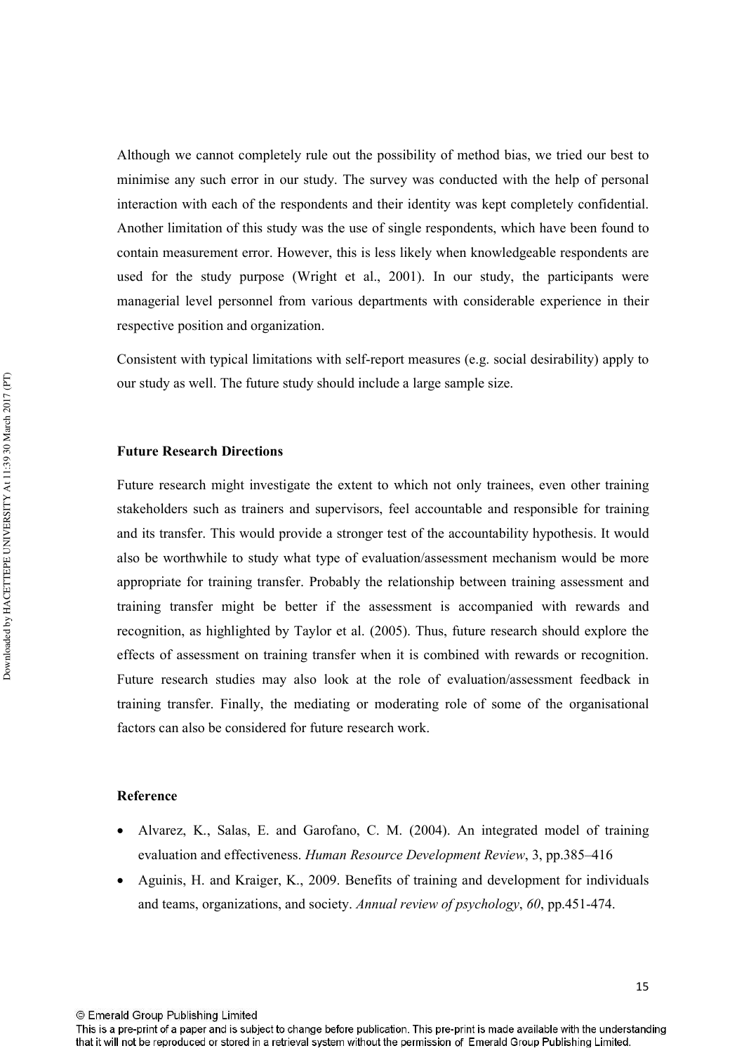Although we cannot completely rule out the possibility of method bias, we tried our best to minimise any such error in our study. The survey was conducted with the help of personal interaction with each of the respondents and their identity was kept completely confidential. Another limitation of this study was the use of single respondents, which have been found to contain measurement error. However, this is less likely when knowledgeable respondents are used for the study purpose (Wright et al., 2001). In our study, the participants were managerial level personnel from various departments with considerable experience in their respective position and organization.

Consistent with typical limitations with self-report measures (e.g. social desirability) apply to our study as well. The future study should include a large sample size.

#### **Future Research Directions**

Future research might investigate the extent to which not only trainees, even other training stakeholders such as trainers and supervisors, feel accountable and responsible for training and its transfer. This would provide a stronger test of the accountability hypothesis. It would also be worthwhile to study what type of evaluation/assessment mechanism would be more appropriate for training transfer. Probably the relationship between training assessment and training transfer might be better if the assessment is accompanied with rewards and recognition, as highlighted by Taylor et al. (2005). Thus, future research should explore the effects of assessment on training transfer when it is combined with rewards or recognition. Future research studies may also look at the role of evaluation/assessment feedback in training transfer. Finally, the mediating or moderating role of some of the organisational factors can also be considered for future research work

#### Reference

- Alvarez, K., Salas, E. and Garofano, C. M. (2004). An integrated model of training evaluation and effectiveness. Human Resource Development Review, 3, pp.385-416
- Aguinis, H. and Kraiger, K., 2009. Benefits of training and development for individuals and teams, organizations, and society. Annual review of psychology, 60, pp.451-474.

© Emerald Group Publishing Limited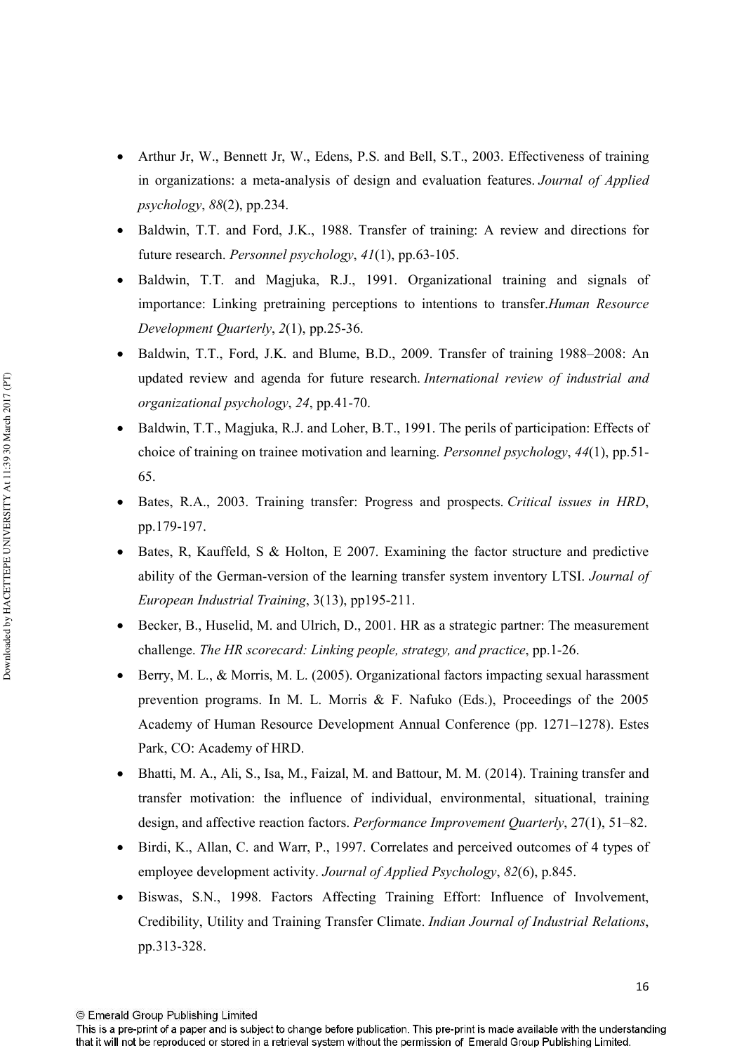- Arthur Jr, W., Bennett Jr, W., Edens, P.S. and Bell, S.T., 2003. Effectiveness of training in organizations: a meta-analysis of design and evaluation features. Journal of Applied  $psychology, 88(2), pp.234.$
- Baldwin, T.T. and Ford, J.K., 1988. Transfer of training: A review and directions for future research. Personnel psychology, 41(1), pp.63-105.
- Baldwin, T.T. and Magjuka, R.J., 1991. Organizational training and signals of importance: Linking pretraining perceptions to intentions to transfer. Human Resource Development Quarterly, 2(1), pp.25-36.
- Baldwin, T.T., Ford, J.K. and Blume, B.D., 2009. Transfer of training 1988–2008: An updated review and agenda for future research. International review of industrial and organizational psychology, 24, pp.41-70.
- Baldwin, T.T., Magjuka, R.J. and Loher, B.T., 1991. The perils of participation: Effects of choice of training on trainee motivation and learning. *Personnel psychology*, 44(1), pp.51-65.
- Bates, R.A., 2003. Training transfer: Progress and prospects. Critical issues in HRD. pp.179-197.
- Bates, R. Kauffeld, S & Holton, E 2007. Examining the factor structure and predictive ability of the German-version of the learning transfer system inventory LTSI. Journal of European Industrial Training, 3(13), pp195-211.
- Becker, B., Huselid, M. and Ulrich, D., 2001. HR as a strategic partner: The measurement challenge. The HR scorecard: Linking people, strategy, and practice, pp.1-26.
- Berry, M. L., & Morris, M. L. (2005). Organizational factors impacting sexual harassment prevention programs. In M. L. Morris & F. Nafuko (Eds.), Proceedings of the  $2005$ Academy of Human Resource Development Annual Conference (pp. 1271–1278). Estes Park, CO: Academy of HRD.
- Bhatti, M. A., Ali, S., Isa, M., Faizal, M. and Battour, M. M. (2014). Training transfer and transfer motivation: the influence of individual, environmental, situational, training design, and affective reaction factors. Performance Improvement Quarterly, 27(1), 51-82.
- Birdi, K., Allan, C. and Warr, P., 1997. Correlates and perceived outcomes of 4 types of employee development activity. Journal of Applied Psychology, 82(6), p.845.
- Biswas, S.N., 1998. Factors Affecting Training Effort: Influence of Involvement, Credibility, Utility and Training Transfer Climate. Indian Journal of Industrial Relations, pp.313-328.

This is a pre-print of a paper and is subject to change before publication. This pre-print is made available with the understanding that it will not be reproduced or stored in a retrieval system without the permission of Emerald Group Publishing Limited.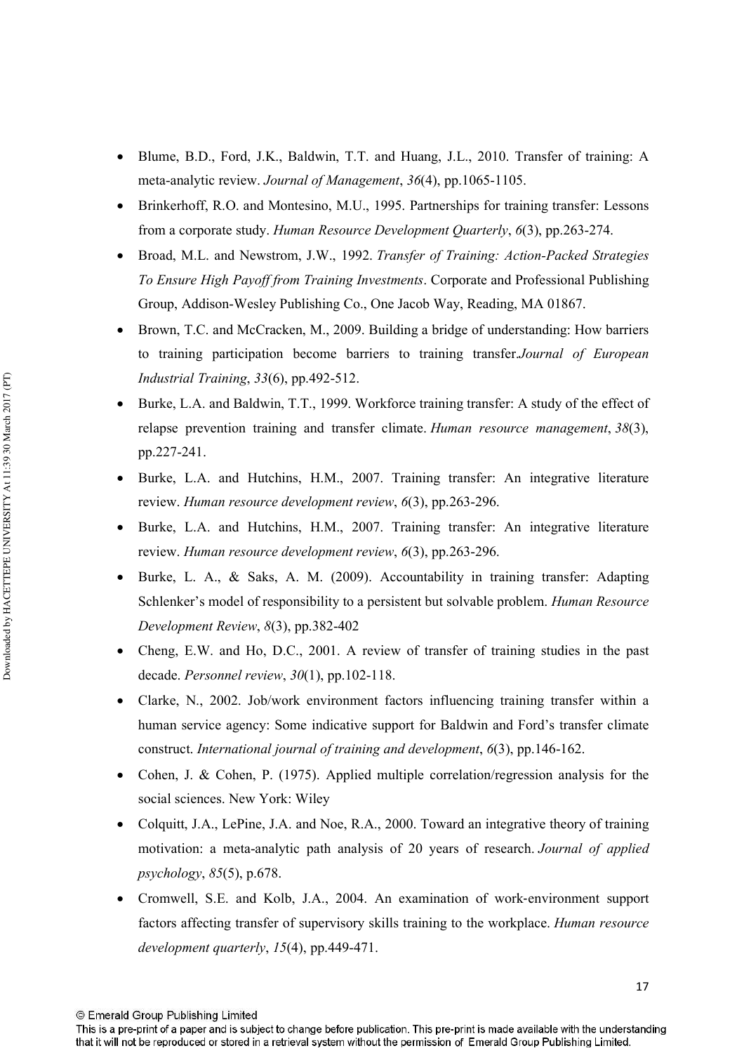- Blume, B.D., Ford, J.K., Baldwin, T.T. and Huang, J.L., 2010. Transfer of training: A  $\bullet$ meta-analytic review. Journal of Management, 36(4), pp.1065-1105.
- Brinkerhoff, R.O. and Montesino, M.U., 1995. Partnerships for training transfer: Lessons from a corporate study. Human Resource Development Quarterly, 6(3), pp.263-274.
- Broad, M.L. and Newstrom, J.W., 1992. Transfer of Training: Action-Packed Strategies  $\bullet$ To Ensure High Payoff from Training Investments. Corporate and Professional Publishing Group, Addison-Wesley Publishing Co., One Jacob Way, Reading, MA 01867.
- Brown, T.C. and McCracken, M., 2009. Building a bridge of understanding: How barriers to training participation become barriers to training transfer.Journal of European Industrial Training, 33(6), pp.492-512.
- Burke, L.A. and Baldwin, T.T., 1999. Workforce training transfer: A study of the effect of relapse prevention training and transfer climate. Human resource management, 38(3), pp.227-241.
- Burke, L.A. and Hutchins, H.M., 2007. Training transfer: An integrative literature review. Human resource development review. 6(3), pp.263-296.
- Burke, L.A. and Hutchins, H.M., 2007. Training transfer: An integrative literature  $\bullet$ review. Human resource development review, 6(3), pp.263-296.
- Burke, L. A., & Saks, A. M. (2009). Accountability in training transfer: Adapting Schlenker's model of responsibility to a persistent but solvable problem. Human Resource Development Review, 8(3), pp.382-402
- Cheng, E.W. and Ho, D.C., 2001. A review of transfer of training studies in the past decade. Personnel review,  $30(1)$ , pp.102-118.
- Clarke, N., 2002. Job/work environment factors influencing training transfer within a human service agency: Some indicative support for Baldwin and Ford's transfer climate construct. International journal of training and development, 6(3), pp.146-162.
- Cohen, J. & Cohen, P.  $(1975)$ . Applied multiple correlation/regression analysis for the  $\bullet$ social sciences. New York: Wiley
- Colquitt, J.A., LePine, J.A. and Noe, R.A., 2000. Toward an integrative theory of training motivation: a meta-analytic path analysis of 20 years of research. Journal of applied  $psychology, 85(5), p.678.$
- Cromwell, S.E. and Kolb, J.A., 2004. An examination of work-environment support factors affecting transfer of supervisory skills training to the workplace. Human resource development quarterly,  $15(4)$ , pp.449-471.

<sup>©</sup> Emerald Group Publishing Limited

This is a pre-print of a paper and is subject to change before publication. This pre-print is made available with the understanding that it will not be reproduced or stored in a retrieval system without the permission of Emerald Group Publishing Limited.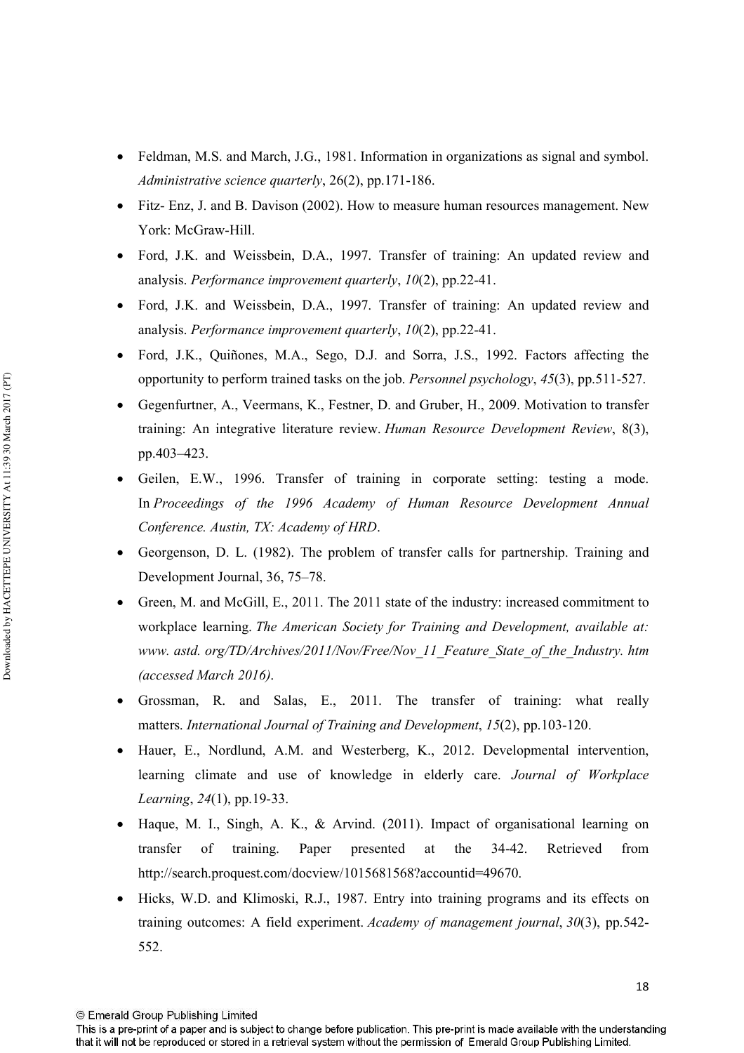- Feldman, M.S. and March, J.G., 1981. Information in organizations as signal and symbol. Administrative science quarterly, 26(2), pp.171-186.
- Fitz-Enz, J. and B. Davison (2002). How to measure human resources management. New  $\bullet$ York: McGraw-Hill.
- Ford, J.K. and Weissbein, D.A., 1997. Transfer of training: An updated review and  $\bullet$ analysis. Performance improvement quarterly,  $10(2)$ , pp. 22-41.
- Ford, J.K. and Weissbein, D.A., 1997. Transfer of training: An updated review and analysis. Performance improvement quarterly,  $10(2)$ , pp.22-41.
- Ford, J.K., Quiñones, M.A., Sego, D.J. and Sorra, J.S., 1992. Factors affecting the opportunity to perform trained tasks on the job. *Personnel psychology*,  $45(3)$ , pp. 511-527.
- Gegenfurtner, A., Veermans, K., Festner, D. and Gruber, H., 2009. Motivation to transfer training: An integrative literature review. Human Resource Development Review, 8(3), pp.403-423.
- Geilen, E.W., 1996. Transfer of training in corporate setting: testing a mode. In Proceedings of the 1996 Academy of Human Resource Development Annual Conference. Austin, TX: Academy of HRD.
- Georgenson, D. L. (1982). The problem of transfer calls for partnership. Training and Development Journal, 36, 75–78.
- Green, M. and McGill, E., 2011. The 2011 state of the industry: increased commitment to workplace learning. The American Society for Training and Development, available at: www. astd. org/TD/Archives/2011/Nov/Free/Nov 11 Feature State of the Industry. htm (accessed March 2016).
- Grossman, R. and Salas, E., 2011. The transfer of training: what really  $\bullet$ matters. International Journal of Training and Development, 15(2), pp.103-120.
- Hauer, E., Nordlund, A.M. and Westerberg, K., 2012. Developmental intervention, learning climate and use of knowledge in elderly care. Journal of Workplace Learning, 24(1), pp.19-33.
- Haque, M. I., Singh, A. K., & Arvind. (2011). Impact of organisational learning on transfer  $\sigma$ f training. Paper presented the  $34-42$ . Retrieved at from http://search.proquest.com/docview/1015681568?accountid=49670.
- Hicks, W.D. and Klimoski, R.J., 1987. Entry into training programs and its effects on training outcomes: A field experiment. Academy of management journal, 30(3), pp.542-552.

This is a pre-print of a paper and is subject to change before publication. This pre-print is made available with the understanding that it will not be reproduced or stored in a retrieval system without the permission of Emerald Group Publishing Limited.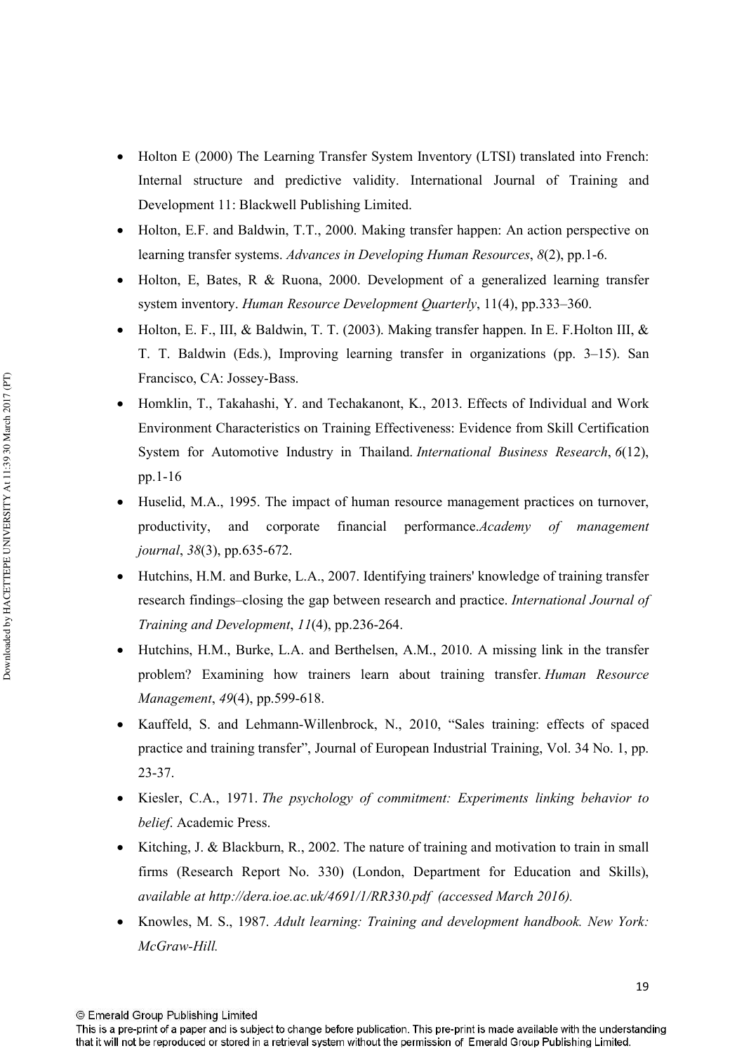- Holton E (2000) The Learning Transfer System Inventory (LTSI) translated into French:  $\bullet$ Internal structure and predictive validity. International Journal of Training and Development 11: Blackwell Publishing Limited.
- Holton, E.F. and Baldwin, T.T., 2000. Making transfer happen: An action perspective on learning transfer systems. Advances in Developing Human Resources, 8(2), pp.1-6.
- Holton, E, Bates, R & Ruona, 2000. Development of a generalized learning transfer system inventory. Human Resource Development Quarterly, 11(4), pp.333–360.
- Holton, E. F., III. & Baldwin, T. T. (2003). Making transfer happen. In E. F. Holton III. & T. T. Baldwin (Eds.). Improving learning transfer in organizations (pp. 3–15). San Francisco, CA: Jossev-Bass.
- Homklin, T., Takahashi, Y. and Techakanont, K., 2013. Effects of Individual and Work Environment Characteristics on Training Effectiveness: Evidence from Skill Certification System for Automotive Industry in Thailand. International Business Research, 6(12), pp.1-16
- Huselid, M.A., 1995. The impact of human resource management practices on turnover. productivity. and financial performance.Academy corporate  $\sigma f$ management *journal*, 38(3), pp.635-672.
- Hutchins, H.M. and Burke, L.A., 2007. Identifying trainers' knowledge of training transfer research findings-closing the gap between research and practice. *International Journal of* Training and Development, 11(4), pp.236-264.
- Hutchins, H.M., Burke, L.A. and Berthelsen, A.M., 2010. A missing link in the transfer problem? Examining how trainers learn about training transfer. Human Resource Management, 49(4), pp.599-618.
- Kauffeld, S. and Lehmann-Willenbrock, N., 2010, "Sales training: effects of spaced  $\bullet$ practice and training transfer", Journal of European Industrial Training, Vol. 34 No. 1, pp.  $23 - 37$ .
- Kiesler, C.A., 1971. The psychology of commitment: Experiments linking behavior to belief. Academic Press.
- Kitching, J. & Blackburn, R., 2002. The nature of training and motivation to train in small firms (Research Report No. 330) (London, Department for Education and Skills), available at http://dera.ioe.ac.uk/4691/1/RR330.pdf (accessed March 2016).
- Knowles, M. S., 1987. Adult learning: Training and development handbook. New York:  $\bullet$ McGraw-Hill.

<sup>©</sup> Emerald Group Publishing Limited

This is a pre-print of a paper and is subject to change before publication. This pre-print is made available with the understanding that it will not be reproduced or stored in a retrieval system without the permission of Emerald Group Publishing Limited.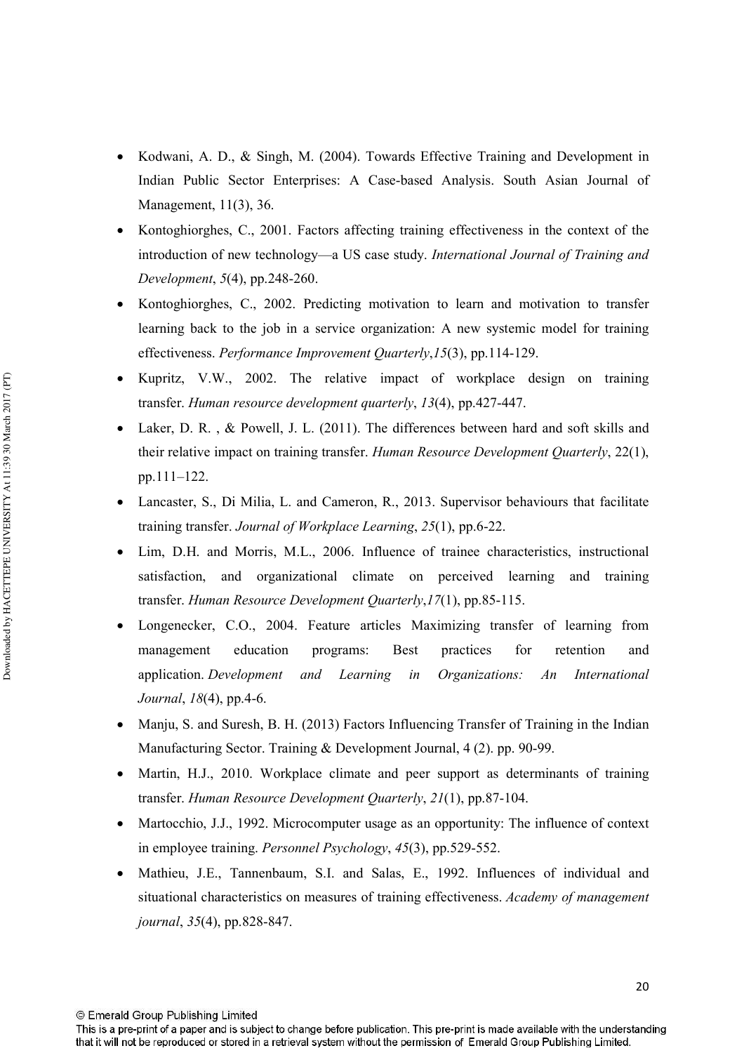- Kodwani, A. D., & Singh, M. (2004). Towards Effective Training and Development in Indian Public Sector Enterprises: A Case-based Analysis. South Asian Journal of Management, 11(3), 36.
- Kontoghiorghes, C., 2001. Factors affecting training effectiveness in the context of the introduction of new technology—a US case study. International Journal of Training and Development, 5(4), pp.248-260.
- Kontoghiorghes, C., 2002. Predicting motivation to learn and motivation to transfer  $\bullet$ learning back to the job in a service organization: A new systemic model for training effectiveness. Performance Improvement Quarterly, 15(3), pp.114-129.
- Kupritz, V.W., 2002. The relative impact of workplace design on training transfer. Human resource development quarterly, 13(4), pp.427-447.
- Laker, D. R., & Powell, J. L. (2011). The differences between hard and soft skills and their relative impact on training transfer. Human Resource Development Quarterly, 22(1), pp.111-122.
- Lancaster, S., Di Milia, L. and Cameron, R., 2013. Supervisor behaviours that facilitate training transfer. Journal of Workplace Learning, 25(1), pp.6-22.
- Lim, D.H. and Morris, M.L., 2006. Influence of trainee characteristics, instructional satisfaction, and organizational climate on perceived learning and training transfer. Human Resource Development Quarterly, 17(1), pp.85-115.
- Longenecker, C.O., 2004. Feature articles Maximizing transfer of learning from management education practices for programs: **Best** retention and application. Development and Learning in Organizations:  $An$ *International Journal*, 18(4), pp.4-6.
- Manju, S. and Suresh, B. H. (2013) Factors Influencing Transfer of Training in the Indian  $\bullet$ Manufacturing Sector. Training & Development Journal, 4 (2). pp. 90-99.
- Martin, H.J., 2010. Workplace climate and peer support as determinants of training transfer. Human Resource Development Quarterly, 21(1), pp.87-104.
- Martocchio, J.J., 1992. Microcomputer usage as an opportunity: The influence of context  $\bullet$ in employee training. *Personnel Psychology*, 45(3), pp.529-552.
- Mathieu, J.E., Tannenbaum, S.I. and Salas, E., 1992. Influences of individual and situational characteristics on measures of training effectiveness. Academy of management *journal*, 35(4), pp.828-847.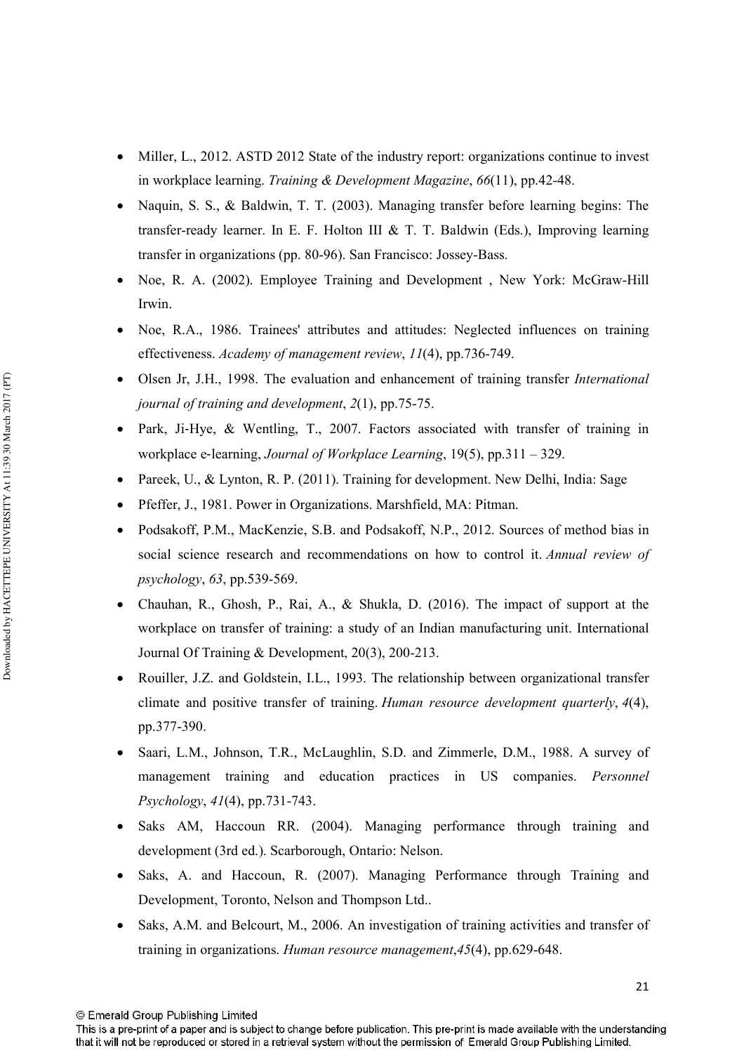- Miller, L., 2012. ASTD 2012 State of the industry report: organizations continue to invest in workplace learning. Training & Development Magazine, 66(11), pp.42-48.
- Naquin, S. S., & Baldwin, T. T. (2003). Managing transfer before learning begins: The transfer-ready learner. In E. F. Holton III & T. T. Baldwin (Eds.), Improving learning transfer in organizations (pp. 80-96). San Francisco: Jossey-Bass.
- Noe, R. A. (2002). Employee Training and Development, New York: McGraw-Hill Irwin
- Noe, R.A., 1986. Trainees' attributes and attitudes: Neglected influences on training effectiveness. Academy of management review. 11(4), pp.736-749.
- Olsen Jr. J.H., 1998. The evaluation and enhancement of training transfer *International* journal of training and development,  $2(1)$ , pp.75-75.
- Park, Ji-Hye, & Wentling, T., 2007. Factors associated with transfer of training in  $\bullet$ workplace e-learning, Journal of Workplace Learning,  $19(5)$ , pp. 311 - 329.
- Pareek, U., & Lynton, R. P. (2011). Training for development. New Delhi, India: Sage
- Pfeffer, J., 1981. Power in Organizations. Marshfield, MA: Pitman.
- Podsakoff, P.M., MacKenzie, S.B. and Podsakoff, N.P., 2012. Sources of method bias in social science research and recommendations on how to control it. Annual review of *psychology*, 63, pp.539-569.
- Chauhan, R., Ghosh, P., Rai, A., & Shukla, D. (2016). The impact of support at the workplace on transfer of training: a study of an Indian manufacturing unit. International Journal Of Training & Development, 20(3), 200-213.
- Rouiller, J.Z. and Goldstein, I.L., 1993. The relationship between organizational transfer climate and positive transfer of training. Human resource development quarterly,  $4(4)$ , pp.377-390.
- Saari, L.M., Johnson, T.R., McLaughlin, S.D. and Zimmerle, D.M., 1988. A survey of management training and education practices in US companies. Personnel Psychology, 41(4), pp.731-743.
- Saks AM, Haccoun RR. (2004). Managing performance through training and development (3rd ed.). Scarborough, Ontario: Nelson.
- Saks, A. and Haccoun, R. (2007). Managing Performance through Training and Development, Toronto, Nelson and Thompson Ltd...
- Saks, A.M. and Belcourt, M., 2006. An investigation of training activities and transfer of training in organizations. Human resource management, 45(4), pp.629-648.

Downloaded by HACETTEPE UNIVERSITY At 11:39 30 March 2017 (PT)

This is a pre-print of a paper and is subject to change before publication. This pre-print is made available with the understanding that it will not be reproduced or stored in a retrieval system without the permission of Emerald Group Publishing Limited.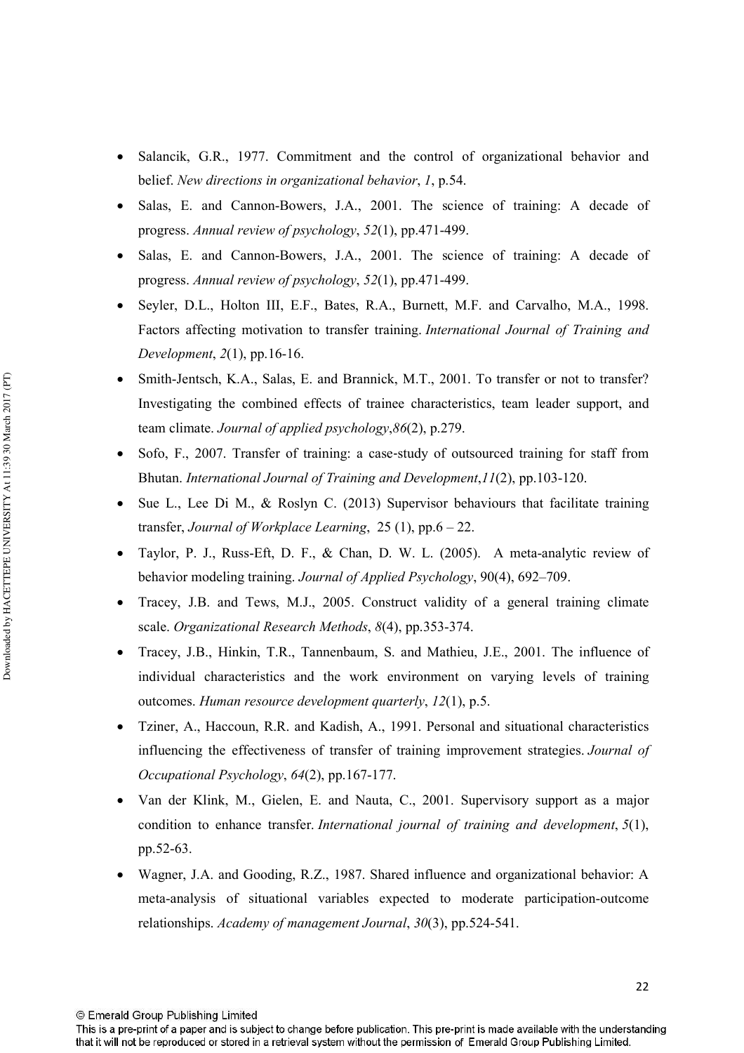- Salancik, G.R., 1977. Commitment and the control of organizational behavior and belief. New directions in organizational behavior, 1, p.54.
- Salas, E. and Cannon-Bowers, J.A., 2001. The science of training: A decade of progress. Annual review of psychology, 52(1), pp.471-499.
- Salas, E. and Cannon-Bowers, J.A., 2001. The science of training: A decade of progress. Annual review of psychology, 52(1), pp.471-499.
- Sevler, D.L., Holton III, E.F., Bates, R.A., Burnett, M.F. and Carvalho, M.A., 1998. Factors affecting motivation to transfer training. International Journal of Training and Development, 2(1), pp.16-16.
- Smith-Jentsch, K.A., Salas, E. and Brannick, M.T., 2001. To transfer or not to transfer? Investigating the combined effects of trainee characteristics, team leader support, and team climate. Journal of applied psychology, 86(2), p.279.
- Sofo, F., 2007. Transfer of training: a case-study of outsourced training for staff from Bhutan. International Journal of Training and Development, 11(2), pp.103-120.
- Sue L., Lee Di M., & Roslyn C. (2013) Supervisor behaviours that facilitate training transfer, Journal of Workplace Learning,  $25(1)$ , pp.6 – 22.
- Taylor, P. J., Russ-Eft, D. F., & Chan, D. W. L. (2005). A meta-analytic review of behavior modeling training. Journal of Applied Psychology, 90(4), 692–709.
- Tracey, J.B. and Tews, M.J., 2005. Construct validity of a general training climate scale. Organizational Research Methods, 8(4), pp.353-374.
- Tracey, J.B., Hinkin, T.R., Tannenbaum, S. and Mathieu, J.E., 2001. The influence of individual characteristics and the work environment on varying levels of training outcomes. Human resource development quarterly, 12(1), p.5.
- Tziner, A., Haccoun, R.R. and Kadish, A., 1991. Personal and situational characteristics influencing the effectiveness of transfer of training improvement strategies. Journal of Occupational Psychology, 64(2), pp.167-177.
- Van der Klink, M., Gielen, E. and Nauta, C., 2001. Supervisory support as a major condition to enhance transfer. International journal of training and development,  $5(1)$ , pp.52-63.
- Wagner, J.A. and Gooding, R.Z., 1987. Shared influence and organizational behavior: A meta-analysis of situational variables expected to moderate participation-outcome relationships. Academy of management Journal, 30(3), pp.524-541.

This is a pre-print of a paper and is subject to change before publication. This pre-print is made available with the understanding that it will not be reproduced or stored in a retrieval system without the permission of Emerald Group Publishing Limited.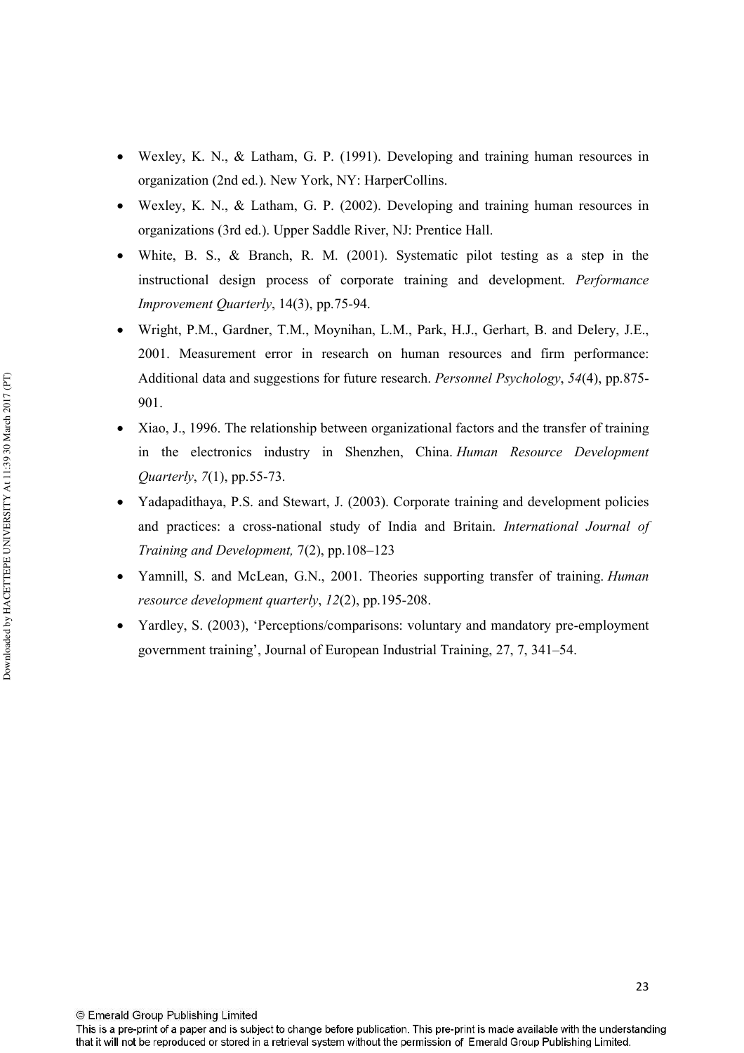- Wexley, K. N., & Latham, G. P. (1991). Developing and training human resources in organization (2nd ed.). New York, NY: HarperCollins.
- Wexley, K. N., & Latham, G. P. (2002). Developing and training human resources in organizations (3rd ed.). Upper Saddle River, NJ: Prentice Hall.
- White, B. S., & Branch, R. M. (2001). Systematic pilot testing as a step in the instructional design process of corporate training and development. Performance Improvement Quarterly, 14(3), pp.75-94.
- Wright, P.M., Gardner, T.M., Movnihan, L.M., Park, H.J., Gerhart, B. and Delery, J.E., 2001. Measurement error in research on human resources and firm performance: Additional data and suggestions for future research. *Personnel Psychology*, 54(4), pp.875-901.
- Xiao, J., 1996. The relationship between organizational factors and the transfer of training in the electronics industry in Shenzhen, China. Human Resource Development *Quarterly*, 7(1), pp.55-73.
- Yadapadithava, P.S. and Stewart, J. (2003). Corporate training and development policies and practices: a cross-national study of India and Britain. International Journal of Training and Development, 7(2), pp.108-123
- Yamnill, S. and McLean, G.N., 2001. Theories supporting transfer of training. Human resource development quarterly, 12(2), pp.195-208.
- Yardley, S. (2003), 'Perceptions/comparisons: voluntary and mandatory pre-employment government training', Journal of European Industrial Training, 27, 7, 341–54.

© Emerald Group Publishing Limited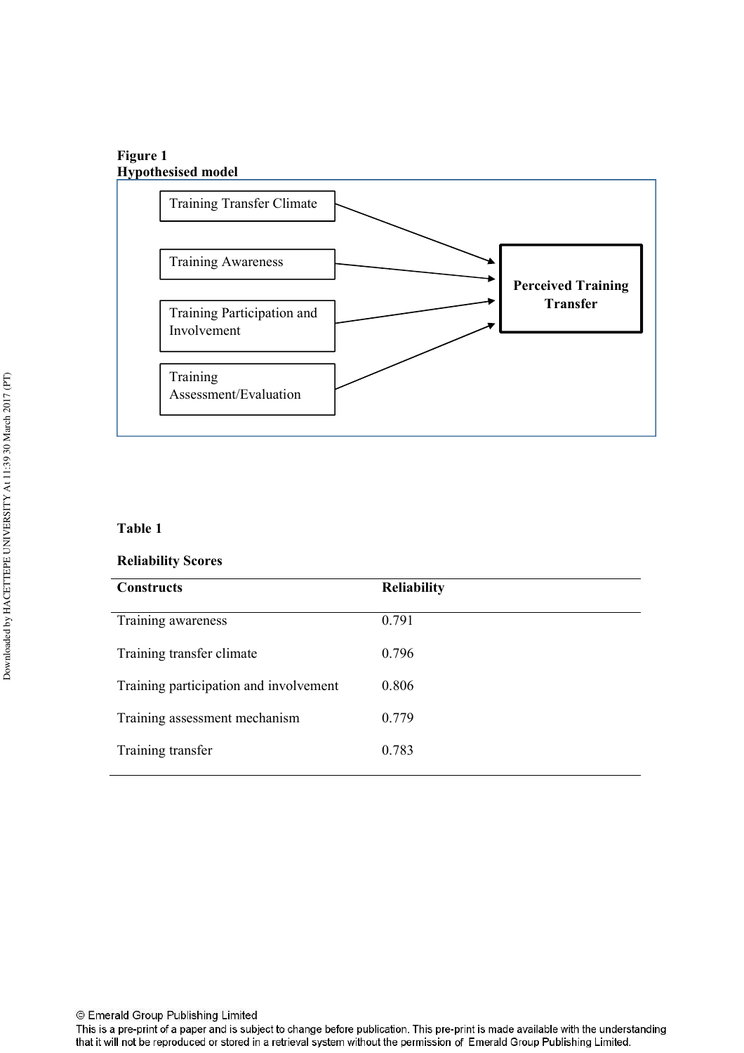#### **Figure 1 Hypothesised model**



## Table 1

#### **Reliability Scores**

| <b>Constructs</b>                      | <b>Reliability</b> |
|----------------------------------------|--------------------|
| Training awareness                     | 0.791              |
| Training transfer climate              | 0.796              |
| Training participation and involvement | 0.806              |
| Training assessment mechanism          | 0.779              |
| Training transfer                      | 0.783              |

© Emerald Group Publishing Limited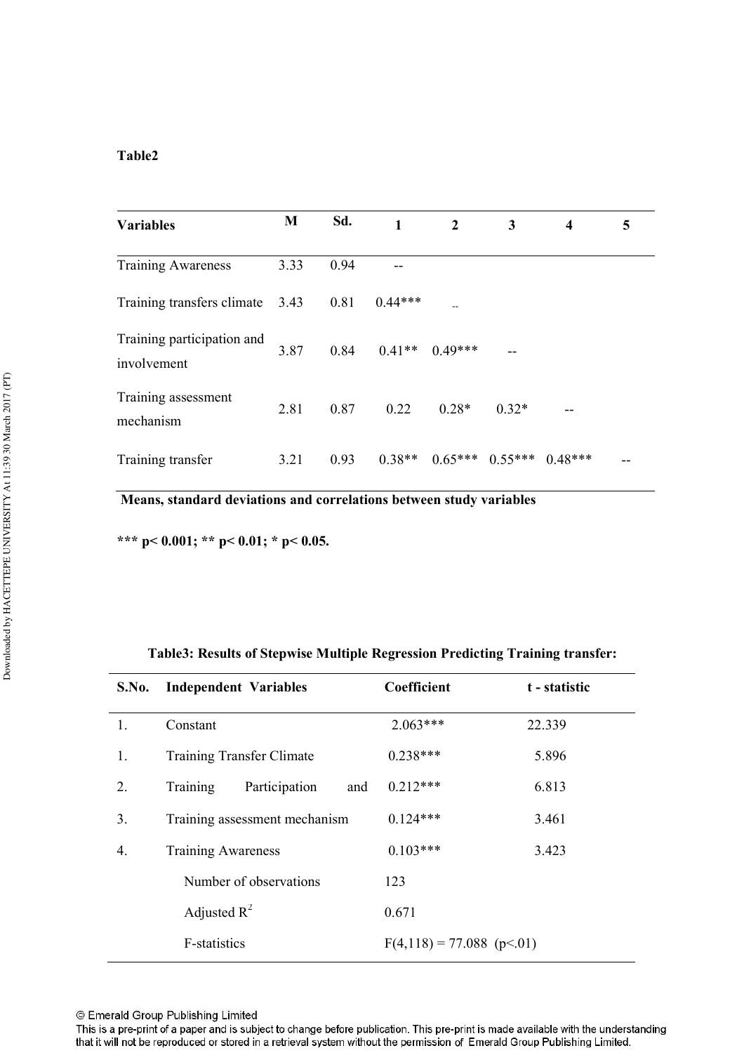#### Table2

| <b>Variables</b>                          | M    | Sd.  | 1         | $\mathbf{2}$ | 3         | $\overline{\mathbf{4}}$ | 5 |
|-------------------------------------------|------|------|-----------|--------------|-----------|-------------------------|---|
| <b>Training Awareness</b>                 | 3.33 | 0.94 |           |              |           |                         |   |
| Training transfers climate                | 3.43 | 0.81 | $0.44***$ | --           |           |                         |   |
| Training participation and<br>involvement | 3.87 | 0.84 | $0.41**$  | $0.49***$    |           |                         |   |
| Training assessment<br>mechanism          | 2.81 | 0.87 | 0.22      | $0.28*$      | $0.32*$   |                         |   |
| Training transfer                         | 3.21 | 0.93 | $0.38**$  | $0.65***$    | $0.55***$ | $0.48***$               |   |

Means, standard deviations and correlations between study variables

\*\*\* p< 0.001; \*\* p< 0.01; \* p< 0.05.

#### Table3: Results of Stepwise Multiple Regression Predicting Training transfer:

| S.No.            | <b>Independent Variables</b>            | Coefficient                  | t - statistic |  |
|------------------|-----------------------------------------|------------------------------|---------------|--|
| 1.               | Constant                                | $2.063***$                   | 22.339        |  |
| 1.               | <b>Training Transfer Climate</b>        | $0.238***$                   | 5.896         |  |
| $\overline{2}$ . | Participation<br><b>Training</b><br>and | $0.212***$                   | 6.813         |  |
| 3 <sub>1</sub>   | Training assessment mechanism           | $0.124***$                   | 3.461         |  |
| $\overline{4}$ . | <b>Training Awareness</b>               | $0.103***$                   | 3.423         |  |
|                  | Number of observations                  | 123                          |               |  |
|                  | Adjusted $R^2$                          | 0.671                        |               |  |
|                  | F-statistics                            | $F(4,118) = 77.088$ (p < 01) |               |  |